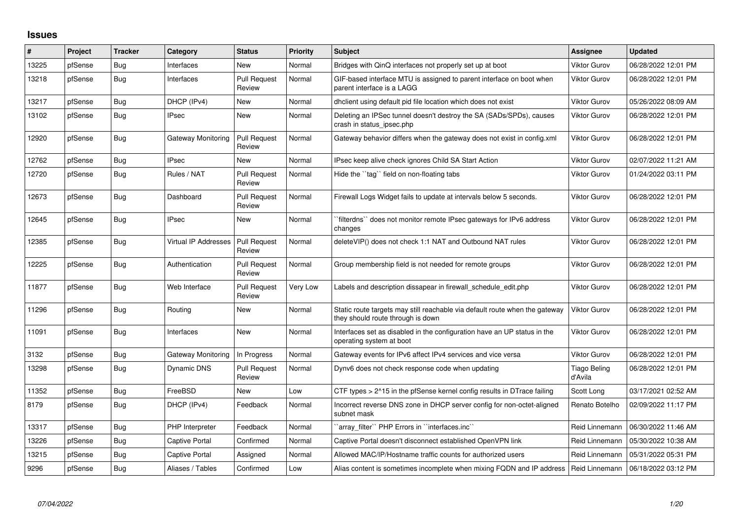## **Issues**

| #     | Project | <b>Tracker</b> | Category                    | <b>Status</b>                 | <b>Priority</b> | Subject                                                                                                          | Assignee                       | <b>Updated</b>                       |
|-------|---------|----------------|-----------------------------|-------------------------------|-----------------|------------------------------------------------------------------------------------------------------------------|--------------------------------|--------------------------------------|
| 13225 | pfSense | Bug            | Interfaces                  | New                           | Normal          | Bridges with QinQ interfaces not properly set up at boot                                                         | Viktor Gurov                   | 06/28/2022 12:01 PM                  |
| 13218 | pfSense | Bug            | Interfaces                  | <b>Pull Request</b><br>Review | Normal          | GIF-based interface MTU is assigned to parent interface on boot when<br>parent interface is a LAGG               | Viktor Gurov                   | 06/28/2022 12:01 PM                  |
| 13217 | pfSense | Bug            | DHCP (IPv4)                 | New                           | Normal          | dhclient using default pid file location which does not exist                                                    | Viktor Gurov                   | 05/26/2022 08:09 AM                  |
| 13102 | pfSense | Bug            | <b>IPsec</b>                | <b>New</b>                    | Normal          | Deleting an IPSec tunnel doesn't destroy the SA (SADs/SPDs), causes<br>crash in status ipsec.php                 | Viktor Gurov                   | 06/28/2022 12:01 PM                  |
| 12920 | pfSense | <b>Bug</b>     | Gateway Monitoring          | <b>Pull Request</b><br>Review | Normal          | Gateway behavior differs when the gateway does not exist in config.xml                                           | Viktor Gurov                   | 06/28/2022 12:01 PM                  |
| 12762 | pfSense | Bug            | <b>IPsec</b>                | <b>New</b>                    | Normal          | IPsec keep alive check ignores Child SA Start Action                                                             | Viktor Gurov                   | 02/07/2022 11:21 AM                  |
| 12720 | pfSense | Bug            | Rules / NAT                 | <b>Pull Request</b><br>Review | Normal          | Hide the "tag" field on non-floating tabs                                                                        | Viktor Gurov                   | 01/24/2022 03:11 PM                  |
| 12673 | pfSense | <b>Bug</b>     | Dashboard                   | <b>Pull Request</b><br>Review | Normal          | Firewall Logs Widget fails to update at intervals below 5 seconds.                                               | Viktor Gurov                   | 06/28/2022 12:01 PM                  |
| 12645 | pfSense | Bug            | <b>IPsec</b>                | <b>New</b>                    | Normal          | filterdns`` does not monitor remote IPsec gateways for IPv6 address<br>changes                                   | Viktor Gurov                   | 06/28/2022 12:01 PM                  |
| 12385 | pfSense | <b>Bug</b>     | <b>Virtual IP Addresses</b> | <b>Pull Request</b><br>Review | Normal          | deleteVIP() does not check 1:1 NAT and Outbound NAT rules                                                        | <b>Viktor Gurov</b>            | 06/28/2022 12:01 PM                  |
| 12225 | pfSense | Bug            | Authentication              | <b>Pull Request</b><br>Review | Normal          | Group membership field is not needed for remote groups                                                           | Viktor Gurov                   | 06/28/2022 12:01 PM                  |
| 11877 | pfSense | <b>Bug</b>     | Web Interface               | <b>Pull Request</b><br>Review | Very Low        | Labels and description dissapear in firewall schedule edit.php                                                   | Viktor Gurov                   | 06/28/2022 12:01 PM                  |
| 11296 | pfSense | <b>Bug</b>     | Routina                     | New                           | Normal          | Static route targets may still reachable via default route when the gateway<br>they should route through is down | Viktor Gurov                   | 06/28/2022 12:01 PM                  |
| 11091 | pfSense | Bug            | Interfaces                  | <b>New</b>                    | Normal          | Interfaces set as disabled in the configuration have an UP status in the<br>operating system at boot             | Viktor Gurov                   | 06/28/2022 12:01 PM                  |
| 3132  | pfSense | <b>Bug</b>     | Gateway Monitoring          | In Progress                   | Normal          | Gateway events for IPv6 affect IPv4 services and vice versa                                                      | Viktor Gurov                   | 06/28/2022 12:01 PM                  |
| 13298 | pfSense | Bug            | Dynamic DNS                 | <b>Pull Request</b><br>Review | Normal          | Dynv6 does not check response code when updating                                                                 | <b>Tiago Beling</b><br>d'Avila | 06/28/2022 12:01 PM                  |
| 11352 | pfSense | Bug            | FreeBSD                     | New                           | Low             | CTF types > 2^15 in the pfSense kernel config results in DTrace failing                                          | Scott Long                     | 03/17/2021 02:52 AM                  |
| 8179  | pfSense | Bug            | DHCP (IPv4)                 | Feedback                      | Normal          | Incorrect reverse DNS zone in DHCP server config for non-octet-aligned<br>subnet mask                            | Renato Botelho                 | 02/09/2022 11:17 PM                  |
| 13317 | pfSense | <b>Bug</b>     | PHP Interpreter             | Feedback                      | Normal          | `array filter`` PHP Errors in ``interfaces.inc``                                                                 | Reid Linnemann                 | 06/30/2022 11:46 AM                  |
| 13226 | pfSense | Bug            | Captive Portal              | Confirmed                     | Normal          | Captive Portal doesn't disconnect established OpenVPN link                                                       | Reid Linnemann                 | 05/30/2022 10:38 AM                  |
| 13215 | pfSense | <b>Bug</b>     | Captive Portal              | Assigned                      | Normal          | Allowed MAC/IP/Hostname traffic counts for authorized users                                                      | Reid Linnemann                 | 05/31/2022 05:31 PM                  |
| 9296  | pfSense | <b>Bug</b>     | Aliases / Tables            | Confirmed                     | Low             | Alias content is sometimes incomplete when mixing FQDN and IP address                                            |                                | Reid Linnemann   06/18/2022 03:12 PM |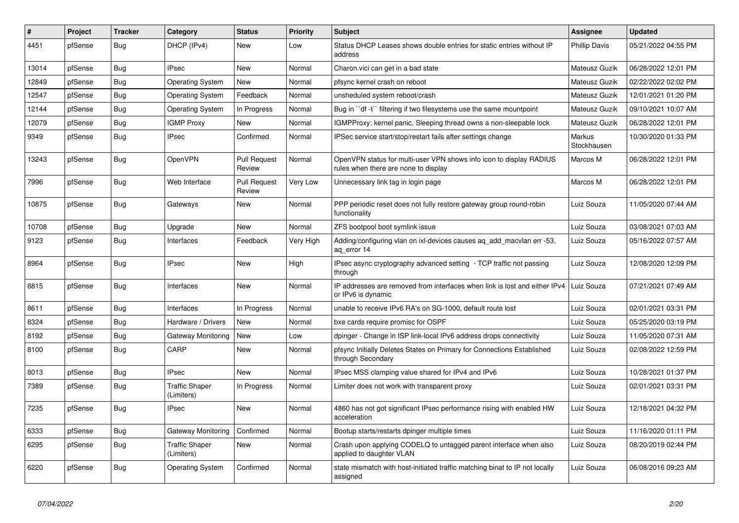| #     | Project | <b>Tracker</b> | Category                            | <b>Status</b>                 | <b>Priority</b> | <b>Subject</b>                                                                                              | Assignee              | <b>Updated</b>      |
|-------|---------|----------------|-------------------------------------|-------------------------------|-----------------|-------------------------------------------------------------------------------------------------------------|-----------------------|---------------------|
| 4451  | pfSense | <b>Bug</b>     | DHCP (IPv4)                         | New                           | Low             | Status DHCP Leases shows double entries for static entries without IP<br>address                            | <b>Phillip Davis</b>  | 05/21/2022 04:55 PM |
| 13014 | pfSense | Bug            | <b>IPsec</b>                        | New                           | Normal          | Charon.vici can get in a bad state                                                                          | Mateusz Guzik         | 06/28/2022 12:01 PM |
| 12849 | pfSense | Bug            | <b>Operating System</b>             | New                           | Normal          | pfsync kernel crash on reboot                                                                               | Mateusz Guzik         | 02/22/2022 02:02 PM |
| 12547 | pfSense | <b>Bug</b>     | <b>Operating System</b>             | Feedback                      | Normal          | unsheduled system reboot/crash                                                                              | <b>Mateusz Guzik</b>  | 12/01/2021 01:20 PM |
| 12144 | pfSense | <b>Bug</b>     | <b>Operating System</b>             | In Progress                   | Normal          | Bug in "df-t" filtering if two filesystems use the same mountpoint                                          | Mateusz Guzik         | 09/10/2021 10:07 AM |
| 12079 | pfSense | <b>Bug</b>     | <b>IGMP Proxy</b>                   | New                           | Normal          | IGMPProxy: kernel panic, Sleeping thread owns a non-sleepable lock                                          | Mateusz Guzik         | 06/28/2022 12:01 PM |
| 9349  | pfSense | <b>Bug</b>     | <b>IPsec</b>                        | Confirmed                     | Normal          | IPSec service start/stop/restart fails after settings change                                                | Markus<br>Stockhausen | 10/30/2020 01:33 PM |
| 13243 | pfSense | Bug            | OpenVPN                             | <b>Pull Request</b><br>Review | Normal          | OpenVPN status for multi-user VPN shows info icon to display RADIUS<br>rules when there are none to display | Marcos M              | 06/28/2022 12:01 PM |
| 7996  | pfSense | Bug            | Web Interface                       | <b>Pull Request</b><br>Review | Very Low        | Unnecessary link tag in login page                                                                          | Marcos M              | 06/28/2022 12:01 PM |
| 10875 | pfSense | <b>Bug</b>     | Gateways                            | New                           | Normal          | PPP periodic reset does not fully restore gateway group round-robin<br>functionality                        | Luiz Souza            | 11/05/2020 07:44 AM |
| 10708 | pfSense | Bug            | Upgrade                             | New                           | Normal          | ZFS bootpool boot symlink issue                                                                             | Luiz Souza            | 03/08/2021 07:03 AM |
| 9123  | pfSense | Bug            | Interfaces                          | Feedback                      | Very High       | Adding/configuring vlan on ixl-devices causes ag add macvlan err -53,<br>ag error 14                        | Luiz Souza            | 05/16/2022 07:57 AM |
| 8964  | pfSense | Bug            | <b>IPsec</b>                        | <b>New</b>                    | High            | IPsec async cryptography advanced setting - TCP traffic not passing<br>through                              | Luiz Souza            | 12/08/2020 12:09 PM |
| 8815  | pfSense | <b>Bug</b>     | Interfaces                          | <b>New</b>                    | Normal          | IP addresses are removed from interfaces when link is lost and either IPv4 Luiz Souza<br>or IPv6 is dynamic |                       | 07/21/2021 07:49 AM |
| 8611  | pfSense | Bug            | Interfaces                          | In Progress                   | Normal          | unable to receive IPv6 RA's on SG-1000, default route lost                                                  | Luiz Souza            | 02/01/2021 03:31 PM |
| 8324  | pfSense | <b>Bug</b>     | Hardware / Drivers                  | New                           | Normal          | bxe cards require promisc for OSPF                                                                          | Luiz Souza            | 05/25/2020 03:19 PM |
| 8192  | pfSense | <b>Bug</b>     | Gateway Monitoring                  | New                           | Low             | dpinger - Change in ISP link-local IPv6 address drops connectivity                                          | Luiz Souza            | 11/05/2020 07:31 AM |
| 8100  | pfSense | <b>Bug</b>     | CARP                                | New                           | Normal          | pfsync Initially Deletes States on Primary for Connections Established<br>through Secondary                 | Luiz Souza            | 02/08/2022 12:59 PM |
| 8013  | pfSense | <b>Bug</b>     | <b>IPsec</b>                        | <b>New</b>                    | Normal          | IPsec MSS clamping value shared for IPv4 and IPv6                                                           | Luiz Souza            | 10/28/2021 01:37 PM |
| 7389  | pfSense | Bug            | <b>Traffic Shaper</b><br>(Limiters) | In Progress                   | Normal          | Limiter does not work with transparent proxy                                                                | Luiz Souza            | 02/01/2021 03:31 PM |
| 7235  | pfSense | <b>Bug</b>     | <b>IPsec</b>                        | <b>New</b>                    | Normal          | 4860 has not got significant IPsec performance rising with enabled HW<br>acceleration                       | Luiz Souza            | 12/18/2021 04:32 PM |
| 6333  | pfSense | <b>Bug</b>     | Gateway Monitoring                  | Confirmed                     | Normal          | Bootup starts/restarts dpinger multiple times                                                               | Luiz Souza            | 11/16/2020 01:11 PM |
| 6295  | pfSense | <b>Bug</b>     | <b>Traffic Shaper</b><br>(Limiters) | New                           | Normal          | Crash upon applying CODELQ to untagged parent interface when also<br>applied to daughter VLAN               | Luiz Souza            | 08/20/2019 02:44 PM |
| 6220  | pfSense | <b>Bug</b>     | <b>Operating System</b>             | Confirmed                     | Normal          | state mismatch with host-initiated traffic matching binat to IP not locally<br>assigned                     | Luiz Souza            | 06/08/2016 09:23 AM |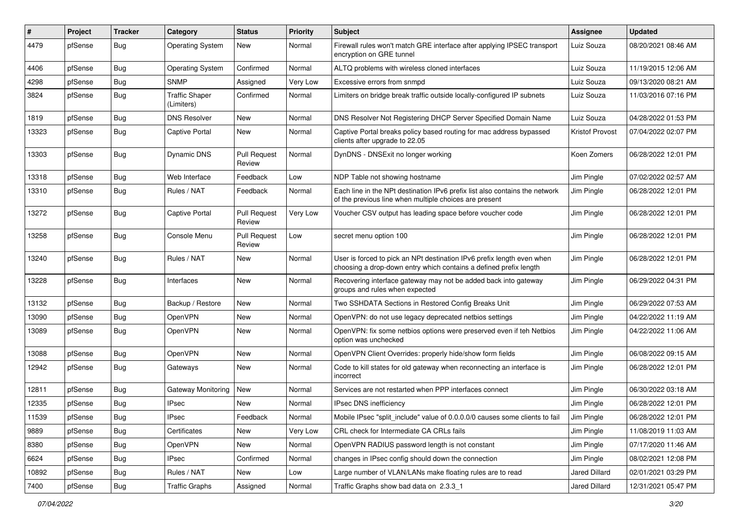| #     | Project | <b>Tracker</b> | Category                            | <b>Status</b>                 | <b>Priority</b> | <b>Subject</b>                                                                                                                              | <b>Assignee</b>        | <b>Updated</b>      |
|-------|---------|----------------|-------------------------------------|-------------------------------|-----------------|---------------------------------------------------------------------------------------------------------------------------------------------|------------------------|---------------------|
| 4479  | pfSense | <b>Bug</b>     | <b>Operating System</b>             | New                           | Normal          | Firewall rules won't match GRE interface after applying IPSEC transport<br>encryption on GRE tunnel                                         | Luiz Souza             | 08/20/2021 08:46 AM |
| 4406  | pfSense | Bug            | <b>Operating System</b>             | Confirmed                     | Normal          | ALTQ problems with wireless cloned interfaces                                                                                               | Luiz Souza             | 11/19/2015 12:06 AM |
| 4298  | pfSense | Bug            | <b>SNMP</b>                         | Assigned                      | Very Low        | Excessive errors from snmpd                                                                                                                 | Luiz Souza             | 09/13/2020 08:21 AM |
| 3824  | pfSense | <b>Bug</b>     | <b>Traffic Shaper</b><br>(Limiters) | Confirmed                     | Normal          | Limiters on bridge break traffic outside locally-configured IP subnets                                                                      | Luiz Souza             | 11/03/2016 07:16 PM |
| 1819  | pfSense | <b>Bug</b>     | <b>DNS Resolver</b>                 | New                           | Normal          | DNS Resolver Not Registering DHCP Server Specified Domain Name                                                                              | Luiz Souza             | 04/28/2022 01:53 PM |
| 13323 | pfSense | Bug            | Captive Portal                      | <b>New</b>                    | Normal          | Captive Portal breaks policy based routing for mac address bypassed<br>clients after upgrade to 22.05                                       | <b>Kristof Provost</b> | 07/04/2022 02:07 PM |
| 13303 | pfSense | <b>Bug</b>     | <b>Dynamic DNS</b>                  | <b>Pull Request</b><br>Review | Normal          | DynDNS - DNSExit no longer working                                                                                                          | Koen Zomers            | 06/28/2022 12:01 PM |
| 13318 | pfSense | Bug            | Web Interface                       | Feedback                      | Low             | NDP Table not showing hostname                                                                                                              | Jim Pingle             | 07/02/2022 02:57 AM |
| 13310 | pfSense | Bug            | Rules / NAT                         | Feedback                      | Normal          | Each line in the NPt destination IPv6 prefix list also contains the network<br>of the previous line when multiple choices are present       | Jim Pingle             | 06/28/2022 12:01 PM |
| 13272 | pfSense | <b>Bug</b>     | Captive Portal                      | <b>Pull Request</b><br>Review | Very Low        | Voucher CSV output has leading space before voucher code                                                                                    | Jim Pingle             | 06/28/2022 12:01 PM |
| 13258 | pfSense | Bug            | Console Menu                        | <b>Pull Request</b><br>Review | Low             | secret menu option 100                                                                                                                      | Jim Pingle             | 06/28/2022 12:01 PM |
| 13240 | pfSense | <b>Bug</b>     | Rules / NAT                         | New                           | Normal          | User is forced to pick an NPt destination IPv6 prefix length even when<br>choosing a drop-down entry which contains a defined prefix length | Jim Pingle             | 06/28/2022 12:01 PM |
| 13228 | pfSense | <b>Bug</b>     | Interfaces                          | <b>New</b>                    | Normal          | Recovering interface gateway may not be added back into gateway<br>groups and rules when expected                                           | Jim Pingle             | 06/29/2022 04:31 PM |
| 13132 | pfSense | Bug            | Backup / Restore                    | <b>New</b>                    | Normal          | Two SSHDATA Sections in Restored Config Breaks Unit                                                                                         | Jim Pingle             | 06/29/2022 07:53 AM |
| 13090 | pfSense | Bug            | OpenVPN                             | <b>New</b>                    | Normal          | OpenVPN: do not use legacy deprecated netbios settings                                                                                      | Jim Pingle             | 04/22/2022 11:19 AM |
| 13089 | pfSense | Bug            | OpenVPN                             | New                           | Normal          | OpenVPN: fix some netbios options were preserved even if teh Netbios<br>option was unchecked                                                | Jim Pingle             | 04/22/2022 11:06 AM |
| 13088 | pfSense | Bug            | <b>OpenVPN</b>                      | <b>New</b>                    | Normal          | OpenVPN Client Overrides: properly hide/show form fields                                                                                    | Jim Pingle             | 06/08/2022 09:15 AM |
| 12942 | pfSense | <b>Bug</b>     | Gateways                            | New                           | Normal          | Code to kill states for old gateway when reconnecting an interface is<br>incorrect                                                          | Jim Pingle             | 06/28/2022 12:01 PM |
| 12811 | pfSense | <b>Bug</b>     | Gateway Monitoring                  | <b>New</b>                    | Normal          | Services are not restarted when PPP interfaces connect                                                                                      | Jim Pingle             | 06/30/2022 03:18 AM |
| 12335 | pfSense | <b>Bug</b>     | <b>IPsec</b>                        | New                           | Normal          | IPsec DNS inefficiency                                                                                                                      | Jim Pingle             | 06/28/2022 12:01 PM |
| 11539 | pfSense | <b>Bug</b>     | <b>IPsec</b>                        | Feedback                      | Normal          | Mobile IPsec "split_include" value of 0.0.0.0/0 causes some clients to fail                                                                 | Jim Pingle             | 06/28/2022 12:01 PM |
| 9889  | pfSense | Bug            | Certificates                        | New                           | Very Low        | CRL check for Intermediate CA CRLs fails                                                                                                    | Jim Pingle             | 11/08/2019 11:03 AM |
| 8380  | pfSense | <b>Bug</b>     | OpenVPN                             | New                           | Normal          | OpenVPN RADIUS password length is not constant                                                                                              | Jim Pingle             | 07/17/2020 11:46 AM |
| 6624  | pfSense | <b>Bug</b>     | <b>IPsec</b>                        | Confirmed                     | Normal          | changes in IPsec config should down the connection                                                                                          | Jim Pingle             | 08/02/2021 12:08 PM |
| 10892 | pfSense | Bug            | Rules / NAT                         | New                           | Low             | Large number of VLAN/LANs make floating rules are to read                                                                                   | Jared Dillard          | 02/01/2021 03:29 PM |
| 7400  | pfSense | Bug            | <b>Traffic Graphs</b>               | Assigned                      | Normal          | Traffic Graphs show bad data on 2.3.3_1                                                                                                     | Jared Dillard          | 12/31/2021 05:47 PM |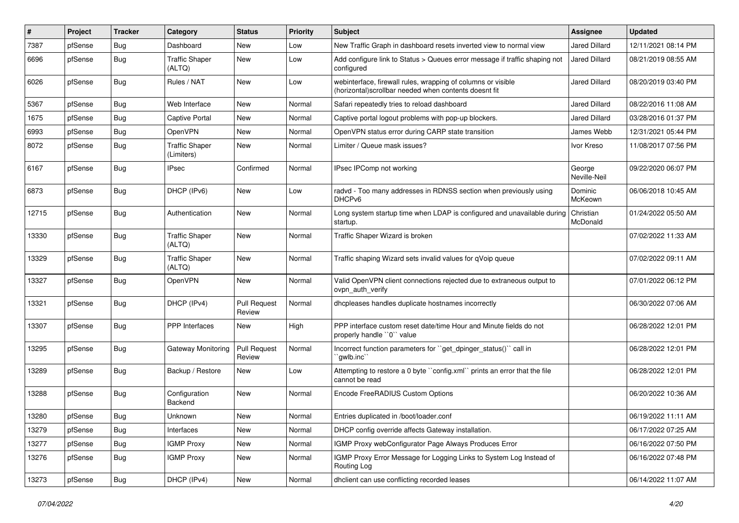| $\vert$ # | Project | <b>Tracker</b> | Category                            | <b>Status</b>                 | <b>Priority</b> | <b>Subject</b>                                                                                                        | <b>Assignee</b>        | <b>Updated</b>      |
|-----------|---------|----------------|-------------------------------------|-------------------------------|-----------------|-----------------------------------------------------------------------------------------------------------------------|------------------------|---------------------|
| 7387      | pfSense | <b>Bug</b>     | Dashboard                           | New                           | Low             | New Traffic Graph in dashboard resets inverted view to normal view                                                    | <b>Jared Dillard</b>   | 12/11/2021 08:14 PM |
| 6696      | pfSense | Bug            | <b>Traffic Shaper</b><br>(ALTQ)     | New                           | Low             | Add configure link to Status > Queues error message if traffic shaping not<br>configured                              | Jared Dillard          | 08/21/2019 08:55 AM |
| 6026      | pfSense | <b>Bug</b>     | Rules / NAT                         | New                           | Low             | webinterface, firewall rules, wrapping of columns or visible<br>(horizontal)scrollbar needed when contents doesnt fit | Jared Dillard          | 08/20/2019 03:40 PM |
| 5367      | pfSense | Bug            | Web Interface                       | New                           | Normal          | Safari repeatedly tries to reload dashboard                                                                           | Jared Dillard          | 08/22/2016 11:08 AM |
| 1675      | pfSense | Bug            | Captive Portal                      | New                           | Normal          | Captive portal logout problems with pop-up blockers.                                                                  | Jared Dillard          | 03/28/2016 01:37 PM |
| 6993      | pfSense | Bug            | OpenVPN                             | New                           | Normal          | OpenVPN status error during CARP state transition                                                                     | James Webb             | 12/31/2021 05:44 PM |
| 8072      | pfSense | <b>Bug</b>     | <b>Traffic Shaper</b><br>(Limiters) | New                           | Normal          | Limiter / Queue mask issues?                                                                                          | Ivor Kreso             | 11/08/2017 07:56 PM |
| 6167      | pfSense | <b>Bug</b>     | <b>IPsec</b>                        | Confirmed                     | Normal          | IPsec IPComp not working                                                                                              | George<br>Neville-Neil | 09/22/2020 06:07 PM |
| 6873      | pfSense | Bug            | DHCP (IPv6)                         | <b>New</b>                    | Low             | radvd - Too many addresses in RDNSS section when previously using<br>DHCP <sub>v6</sub>                               | Dominic<br>McKeown     | 06/06/2018 10:45 AM |
| 12715     | pfSense | Bug            | Authentication                      | New                           | Normal          | Long system startup time when LDAP is configured and unavailable during<br>startup.                                   | Christian<br>McDonald  | 01/24/2022 05:50 AM |
| 13330     | pfSense | Bug            | <b>Traffic Shaper</b><br>(ALTQ)     | <b>New</b>                    | Normal          | Traffic Shaper Wizard is broken                                                                                       |                        | 07/02/2022 11:33 AM |
| 13329     | pfSense | <b>Bug</b>     | <b>Traffic Shaper</b><br>(ALTQ)     | New                           | Normal          | Traffic shaping Wizard sets invalid values for qVoip queue                                                            |                        | 07/02/2022 09:11 AM |
| 13327     | pfSense | Bug            | OpenVPN                             | New                           | Normal          | Valid OpenVPN client connections rejected due to extraneous output to<br>ovpn auth verify                             |                        | 07/01/2022 06:12 PM |
| 13321     | pfSense | <b>Bug</b>     | DHCP (IPv4)                         | <b>Pull Request</b><br>Review | Normal          | dhcpleases handles duplicate hostnames incorrectly                                                                    |                        | 06/30/2022 07:06 AM |
| 13307     | pfSense | Bug            | PPP Interfaces                      | New                           | High            | PPP interface custom reset date/time Hour and Minute fields do not<br>properly handle "0" value                       |                        | 06/28/2022 12:01 PM |
| 13295     | pfSense | <b>Bug</b>     | Gateway Monitoring                  | Pull Request<br>Review        | Normal          | Incorrect function parameters for "get_dpinger_status()" call in<br>`gwlb.inc``                                       |                        | 06/28/2022 12:01 PM |
| 13289     | pfSense | Bug            | Backup / Restore                    | New                           | Low             | Attempting to restore a 0 byte "config.xml" prints an error that the file<br>cannot be read                           |                        | 06/28/2022 12:01 PM |
| 13288     | pfSense | Bug            | Configuration<br><b>Backend</b>     | New                           | Normal          | Encode FreeRADIUS Custom Options                                                                                      |                        | 06/20/2022 10:36 AM |
| 13280     | pfSense | Bug            | Unknown                             | New                           | Normal          | Entries duplicated in /boot/loader.conf                                                                               |                        | 06/19/2022 11:11 AM |
| 13279     | pfSense | Bug            | Interfaces                          | New                           | Normal          | DHCP config override affects Gateway installation.                                                                    |                        | 06/17/2022 07:25 AM |
| 13277     | pfSense | <b>Bug</b>     | <b>IGMP Proxy</b>                   | New                           | Normal          | IGMP Proxy webConfigurator Page Always Produces Error                                                                 |                        | 06/16/2022 07:50 PM |
| 13276     | pfSense | <b>Bug</b>     | <b>IGMP Proxy</b>                   | New                           | Normal          | IGMP Proxy Error Message for Logging Links to System Log Instead of<br>Routing Log                                    |                        | 06/16/2022 07:48 PM |
| 13273     | pfSense | <b>Bug</b>     | DHCP (IPv4)                         | New                           | Normal          | dhclient can use conflicting recorded leases                                                                          |                        | 06/14/2022 11:07 AM |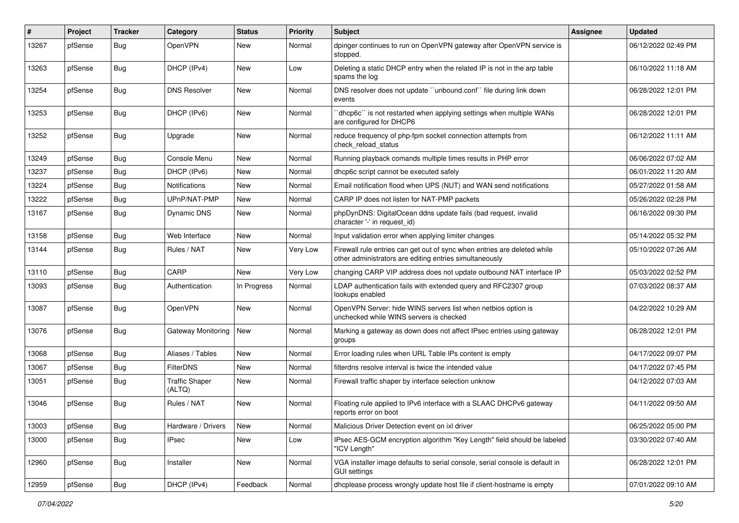| #     | Project | <b>Tracker</b> | Category                        | <b>Status</b> | <b>Priority</b> | <b>Subject</b>                                                                                                                      | <b>Assignee</b> | <b>Updated</b>      |
|-------|---------|----------------|---------------------------------|---------------|-----------------|-------------------------------------------------------------------------------------------------------------------------------------|-----------------|---------------------|
| 13267 | pfSense | <b>Bug</b>     | OpenVPN                         | New           | Normal          | dpinger continues to run on OpenVPN gateway after OpenVPN service is<br>stopped.                                                    |                 | 06/12/2022 02:49 PM |
| 13263 | pfSense | <b>Bug</b>     | DHCP (IPv4)                     | New           | Low             | Deleting a static DHCP entry when the related IP is not in the arp table<br>spams the log                                           |                 | 06/10/2022 11:18 AM |
| 13254 | pfSense | Bug            | <b>DNS Resolver</b>             | <b>New</b>    | Normal          | DNS resolver does not update "unbound.conf" file during link down<br>events                                                         |                 | 06/28/2022 12:01 PM |
| 13253 | pfSense | <b>Bug</b>     | DHCP (IPv6)                     | New           | Normal          | dhcp6c" is not restarted when applying settings when multiple WANs<br>are configured for DHCP6                                      |                 | 06/28/2022 12:01 PM |
| 13252 | pfSense | Bug            | Upgrade                         | New           | Normal          | reduce frequency of php-fpm socket connection attempts from<br>check reload status                                                  |                 | 06/12/2022 11:11 AM |
| 13249 | pfSense | Bug            | Console Menu                    | <b>New</b>    | Normal          | Running playback comands multiple times results in PHP error                                                                        |                 | 06/06/2022 07:02 AM |
| 13237 | pfSense | Bug            | DHCP (IPv6)                     | New           | Normal          | dhcp6c script cannot be executed safely                                                                                             |                 | 06/01/2022 11:20 AM |
| 13224 | pfSense | <b>Bug</b>     | Notifications                   | <b>New</b>    | Normal          | Email notification flood when UPS (NUT) and WAN send notifications                                                                  |                 | 05/27/2022 01:58 AM |
| 13222 | pfSense | <b>Bug</b>     | UPnP/NAT-PMP                    | New           | Normal          | CARP IP does not listen for NAT-PMP packets                                                                                         |                 | 05/26/2022 02:28 PM |
| 13167 | pfSense | Bug            | <b>Dynamic DNS</b>              | New           | Normal          | phpDynDNS: DigitalOcean ddns update fails (bad request, invalid<br>character '-' in request_id)                                     |                 | 06/16/2022 09:30 PM |
| 13158 | pfSense | Bug            | Web Interface                   | <b>New</b>    | Normal          | Input validation error when applying limiter changes                                                                                |                 | 05/14/2022 05:32 PM |
| 13144 | pfSense | Bug            | Rules / NAT                     | New           | Very Low        | Firewall rule entries can get out of sync when entries are deleted while<br>other administrators are editing entries simultaneously |                 | 05/10/2022 07:26 AM |
| 13110 | pfSense | Bug            | CARP                            | <b>New</b>    | Very Low        | changing CARP VIP address does not update outbound NAT interface IP                                                                 |                 | 05/03/2022 02:52 PM |
| 13093 | pfSense | <b>Bug</b>     | Authentication                  | In Progress   | Normal          | LDAP authentication fails with extended query and RFC2307 group<br>lookups enabled                                                  |                 | 07/03/2022 08:37 AM |
| 13087 | pfSense | <b>Bug</b>     | OpenVPN                         | New           | Normal          | OpenVPN Server: hide WINS servers list when netbios option is<br>unchecked while WINS servers is checked                            |                 | 04/22/2022 10:29 AM |
| 13076 | pfSense | <b>Bug</b>     | Gateway Monitoring              | New           | Normal          | Marking a gateway as down does not affect IPsec entries using gateway<br>groups                                                     |                 | 06/28/2022 12:01 PM |
| 13068 | pfSense | Bug            | Aliases / Tables                | <b>New</b>    | Normal          | Error loading rules when URL Table IPs content is empty                                                                             |                 | 04/17/2022 09:07 PM |
| 13067 | pfSense | Bug            | FilterDNS                       | New           | Normal          | filterdns resolve interval is twice the intended value                                                                              |                 | 04/17/2022 07:45 PM |
| 13051 | pfSense | Bug            | <b>Traffic Shaper</b><br>(ALTQ) | New           | Normal          | Firewall traffic shaper by interface selection unknow                                                                               |                 | 04/12/2022 07:03 AM |
| 13046 | pfSense | Bug            | Rules / NAT                     | <b>New</b>    | Normal          | Floating rule applied to IPv6 interface with a SLAAC DHCPv6 gateway<br>reports error on boot                                        |                 | 04/11/2022 09:50 AM |
| 13003 | pfSense | Bug            | Hardware / Drivers              | New           | Normal          | Malicious Driver Detection event on ixl driver                                                                                      |                 | 06/25/2022 05:00 PM |
| 13000 | pfSense | <b>Bug</b>     | IPsec                           | New           | Low             | IPsec AES-GCM encryption algorithm "Key Length" field should be labeled<br>"ICV Length"                                             |                 | 03/30/2022 07:40 AM |
| 12960 | pfSense | <b>Bug</b>     | Installer                       | New           | Normal          | VGA installer image defaults to serial console, serial console is default in<br><b>GUI settings</b>                                 |                 | 06/28/2022 12:01 PM |
| 12959 | pfSense | Bug            | DHCP (IPv4)                     | Feedback      | Normal          | dhcplease process wrongly update host file if client-hostname is empty                                                              |                 | 07/01/2022 09:10 AM |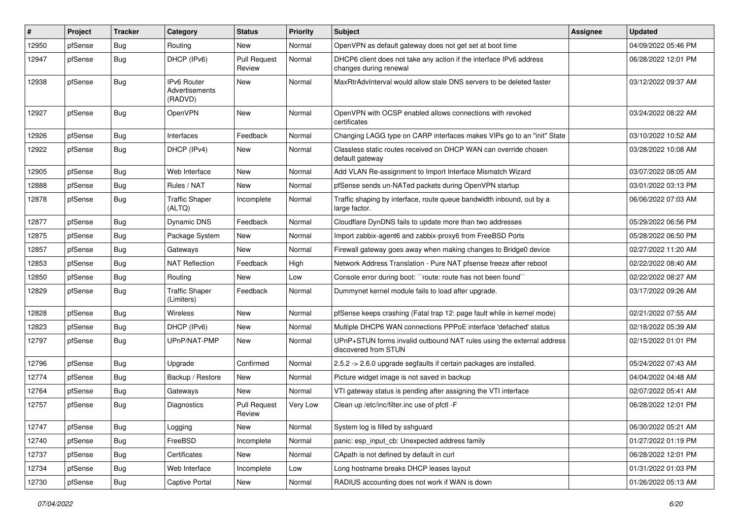| $\vert$ # | Project | <b>Tracker</b> | Category                                 | <b>Status</b>                 | <b>Priority</b> | <b>Subject</b>                                                                                | <b>Assignee</b> | <b>Updated</b>      |
|-----------|---------|----------------|------------------------------------------|-------------------------------|-----------------|-----------------------------------------------------------------------------------------------|-----------------|---------------------|
| 12950     | pfSense | Bug            | Routing                                  | New                           | Normal          | OpenVPN as default gateway does not get set at boot time                                      |                 | 04/09/2022 05:46 PM |
| 12947     | pfSense | Bug            | DHCP (IPv6)                              | <b>Pull Request</b><br>Review | Normal          | DHCP6 client does not take any action if the interface IPv6 address<br>changes during renewal |                 | 06/28/2022 12:01 PM |
| 12938     | pfSense | Bug            | IPv6 Router<br>Advertisements<br>(RADVD) | <b>New</b>                    | Normal          | MaxRtrAdvInterval would allow stale DNS servers to be deleted faster                          |                 | 03/12/2022 09:37 AM |
| 12927     | pfSense | Bug            | OpenVPN                                  | <b>New</b>                    | Normal          | OpenVPN with OCSP enabled allows connections with revoked<br>certificates                     |                 | 03/24/2022 08:22 AM |
| 12926     | pfSense | Bug            | Interfaces                               | Feedback                      | Normal          | Changing LAGG type on CARP interfaces makes VIPs go to an "init" State                        |                 | 03/10/2022 10:52 AM |
| 12922     | pfSense | <b>Bug</b>     | DHCP (IPv4)                              | New                           | Normal          | Classless static routes received on DHCP WAN can override chosen<br>default gateway           |                 | 03/28/2022 10:08 AM |
| 12905     | pfSense | Bug            | Web Interface                            | New                           | Normal          | Add VLAN Re-assignment to Import Interface Mismatch Wizard                                    |                 | 03/07/2022 08:05 AM |
| 12888     | pfSense | Bug            | Rules / NAT                              | <b>New</b>                    | Normal          | pfSense sends un-NATed packets during OpenVPN startup                                         |                 | 03/01/2022 03:13 PM |
| 12878     | pfSense | <b>Bug</b>     | <b>Traffic Shaper</b><br>(ALTQ)          | Incomplete                    | Normal          | Traffic shaping by interface, route queue bandwidth inbound, out by a<br>large factor.        |                 | 06/06/2022 07:03 AM |
| 12877     | pfSense | Bug            | <b>Dynamic DNS</b>                       | Feedback                      | Normal          | Cloudflare DynDNS fails to update more than two addresses                                     |                 | 05/29/2022 06:56 PM |
| 12875     | pfSense | <b>Bug</b>     | Package System                           | New                           | Normal          | Import zabbix-agent6 and zabbix-proxy6 from FreeBSD Ports                                     |                 | 05/28/2022 06:50 PM |
| 12857     | pfSense | <b>Bug</b>     | Gateways                                 | New                           | Normal          | Firewall gateway goes away when making changes to Bridge0 device                              |                 | 02/27/2022 11:20 AM |
| 12853     | pfSense | Bug            | <b>NAT Reflection</b>                    | Feedback                      | High            | Network Address Translation - Pure NAT pfsense freeze after reboot                            |                 | 02/22/2022 08:40 AM |
| 12850     | pfSense | Bug            | Routing                                  | New                           | Low             | Console error during boot: "route: route has not been found"                                  |                 | 02/22/2022 08:27 AM |
| 12829     | pfSense | <b>Bug</b>     | <b>Traffic Shaper</b><br>(Limiters)      | Feedback                      | Normal          | Dummynet kernel module fails to load after upgrade.                                           |                 | 03/17/2022 09:26 AM |
| 12828     | pfSense | Bug            | Wireless                                 | New                           | Normal          | pfSense keeps crashing (Fatal trap 12: page fault while in kernel mode)                       |                 | 02/21/2022 07:55 AM |
| 12823     | pfSense | Bug            | DHCP (IPv6)                              | New                           | Normal          | Multiple DHCP6 WAN connections PPPoE interface 'defached' status                              |                 | 02/18/2022 05:39 AM |
| 12797     | pfSense | <b>Bug</b>     | UPnP/NAT-PMP                             | New                           | Normal          | UPnP+STUN forms invalid outbound NAT rules using the external address<br>discovered from STUN |                 | 02/15/2022 01:01 PM |
| 12796     | pfSense | Bug            | Upgrade                                  | Confirmed                     | Normal          | 2.5.2 -> 2.6.0 upgrade segfaults if certain packages are installed.                           |                 | 05/24/2022 07:43 AM |
| 12774     | pfSense | <b>Bug</b>     | Backup / Restore                         | New                           | Normal          | Picture widget image is not saved in backup                                                   |                 | 04/04/2022 04:48 AM |
| 12764     | pfSense | <b>Bug</b>     | Gateways                                 | <b>New</b>                    | Normal          | VTI gateway status is pending after assigning the VTI interface                               |                 | 02/07/2022 05:41 AM |
| 12757     | pfSense | <b>Bug</b>     | Diagnostics                              | <b>Pull Request</b><br>Review | Very Low        | Clean up /etc/inc/filter.inc use of pfctl -F                                                  |                 | 06/28/2022 12:01 PM |
| 12747     | pfSense | Bug            | Logging                                  | New                           | Normal          | System log is filled by sshguard                                                              |                 | 06/30/2022 05:21 AM |
| 12740     | pfSense | <b>Bug</b>     | FreeBSD                                  | Incomplete                    | Normal          | panic: esp input cb: Unexpected address family                                                |                 | 01/27/2022 01:19 PM |
| 12737     | pfSense | <b>Bug</b>     | Certificates                             | New                           | Normal          | CApath is not defined by default in curl                                                      |                 | 06/28/2022 12:01 PM |
| 12734     | pfSense | Bug            | Web Interface                            | Incomplete                    | Low             | Long hostname breaks DHCP leases layout                                                       |                 | 01/31/2022 01:03 PM |
| 12730     | pfSense | <b>Bug</b>     | Captive Portal                           | New                           | Normal          | RADIUS accounting does not work if WAN is down                                                |                 | 01/26/2022 05:13 AM |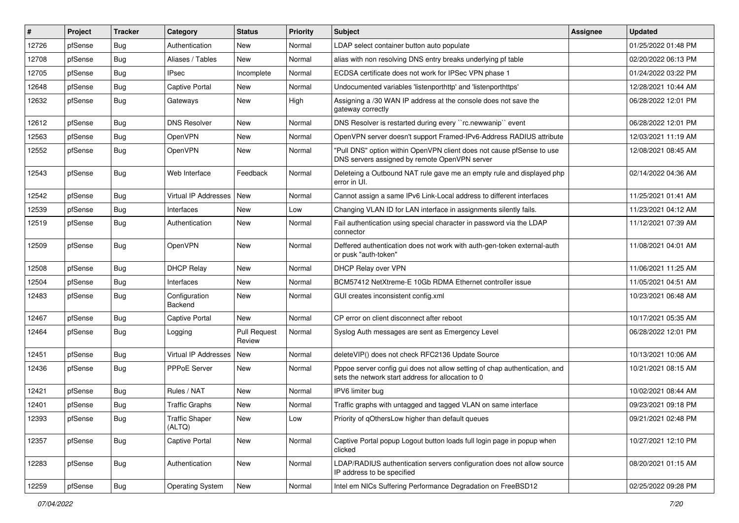| #     | Project | <b>Tracker</b> | Category                        | <b>Status</b>                 | <b>Priority</b> | <b>Subject</b>                                                                                                                   | <b>Assignee</b> | <b>Updated</b>      |
|-------|---------|----------------|---------------------------------|-------------------------------|-----------------|----------------------------------------------------------------------------------------------------------------------------------|-----------------|---------------------|
| 12726 | pfSense | Bug            | Authentication                  | New                           | Normal          | LDAP select container button auto populate                                                                                       |                 | 01/25/2022 01:48 PM |
| 12708 | pfSense | Bug            | Aliases / Tables                | <b>New</b>                    | Normal          | alias with non resolving DNS entry breaks underlying pf table                                                                    |                 | 02/20/2022 06:13 PM |
| 12705 | pfSense | <b>Bug</b>     | IPsec                           | Incomplete                    | Normal          | ECDSA certificate does not work for IPSec VPN phase 1                                                                            |                 | 01/24/2022 03:22 PM |
| 12648 | pfSense | Bug            | Captive Portal                  | New                           | Normal          | Undocumented variables 'listenporthttp' and 'listenporthttps'                                                                    |                 | 12/28/2021 10:44 AM |
| 12632 | pfSense | Bug            | Gateways                        | <b>New</b>                    | High            | Assigning a /30 WAN IP address at the console does not save the<br>gateway correctly                                             |                 | 06/28/2022 12:01 PM |
| 12612 | pfSense | Bug            | <b>DNS Resolver</b>             | <b>New</b>                    | Normal          | DNS Resolver is restarted during every "rc.newwanip" event                                                                       |                 | 06/28/2022 12:01 PM |
| 12563 | pfSense | Bug            | OpenVPN                         | New                           | Normal          | OpenVPN server doesn't support Framed-IPv6-Address RADIUS attribute                                                              |                 | 12/03/2021 11:19 AM |
| 12552 | pfSense | Bug            | OpenVPN                         | New                           | Normal          | "Pull DNS" option within OpenVPN client does not cause pfSense to use<br>DNS servers assigned by remote OpenVPN server           |                 | 12/08/2021 08:45 AM |
| 12543 | pfSense | Bug            | Web Interface                   | Feedback                      | Normal          | Deleteing a Outbound NAT rule gave me an empty rule and displayed php<br>error in UI.                                            |                 | 02/14/2022 04:36 AM |
| 12542 | pfSense | <b>Bug</b>     | Virtual IP Addresses            | New                           | Normal          | Cannot assign a same IPv6 Link-Local address to different interfaces                                                             |                 | 11/25/2021 01:41 AM |
| 12539 | pfSense | Bug            | Interfaces                      | New                           | Low             | Changing VLAN ID for LAN interface in assignments silently fails.                                                                |                 | 11/23/2021 04:12 AM |
| 12519 | pfSense | Bug            | Authentication                  | New                           | Normal          | Fail authentication using special character in password via the LDAP<br>connector                                                |                 | 11/12/2021 07:39 AM |
| 12509 | pfSense | Bug            | <b>OpenVPN</b>                  | New                           | Normal          | Deffered authentication does not work with auth-gen-token external-auth<br>or pusk "auth-token"                                  |                 | 11/08/2021 04:01 AM |
| 12508 | pfSense | Bug            | <b>DHCP Relav</b>               | New                           | Normal          | <b>DHCP Relay over VPN</b>                                                                                                       |                 | 11/06/2021 11:25 AM |
| 12504 | pfSense | Bug            | Interfaces                      | New                           | Normal          | BCM57412 NetXtreme-E 10Gb RDMA Ethernet controller issue                                                                         |                 | 11/05/2021 04:51 AM |
| 12483 | pfSense | <b>Bug</b>     | Configuration<br>Backend        | <b>New</b>                    | Normal          | GUI creates inconsistent config.xml                                                                                              |                 | 10/23/2021 06:48 AM |
| 12467 | pfSense | <b>Bug</b>     | <b>Captive Portal</b>           | <b>New</b>                    | Normal          | CP error on client disconnect after reboot                                                                                       |                 | 10/17/2021 05:35 AM |
| 12464 | pfSense | Bug            | Logging                         | <b>Pull Request</b><br>Review | Normal          | Syslog Auth messages are sent as Emergency Level                                                                                 |                 | 06/28/2022 12:01 PM |
| 12451 | pfSense | Bug            | Virtual IP Addresses            | New                           | Normal          | deleteVIP() does not check RFC2136 Update Source                                                                                 |                 | 10/13/2021 10:06 AM |
| 12436 | pfSense | Bug            | PPPoE Server                    | <b>New</b>                    | Normal          | Pppoe server config gui does not allow setting of chap authentication, and<br>sets the network start address for allocation to 0 |                 | 10/21/2021 08:15 AM |
| 12421 | pfSense | <b>Bug</b>     | Rules / NAT                     | <b>New</b>                    | Normal          | IPV6 limiter bug                                                                                                                 |                 | 10/02/2021 08:44 AM |
| 12401 | pfSense | Bug            | <b>Traffic Graphs</b>           | New                           | Normal          | Traffic graphs with untagged and tagged VLAN on same interface                                                                   |                 | 09/23/2021 09:18 PM |
| 12393 | pfSense | <b>Bug</b>     | <b>Traffic Shaper</b><br>(ALTQ) | New                           | LOW             | Priority of qOthersLow higher than default queues                                                                                |                 | 09/21/2021 02:48 PM |
| 12357 | pfSense | <b>Bug</b>     | Captive Portal                  | New                           | Normal          | Captive Portal popup Logout button loads full login page in popup when<br>clicked                                                |                 | 10/27/2021 12:10 PM |
| 12283 | pfSense | <b>Bug</b>     | Authentication                  | New                           | Normal          | LDAP/RADIUS authentication servers configuration does not allow source<br>IP address to be specified                             |                 | 08/20/2021 01:15 AM |
| 12259 | pfSense | Bug            | <b>Operating System</b>         | New                           | Normal          | Intel em NICs Suffering Performance Degradation on FreeBSD12                                                                     |                 | 02/25/2022 09:28 PM |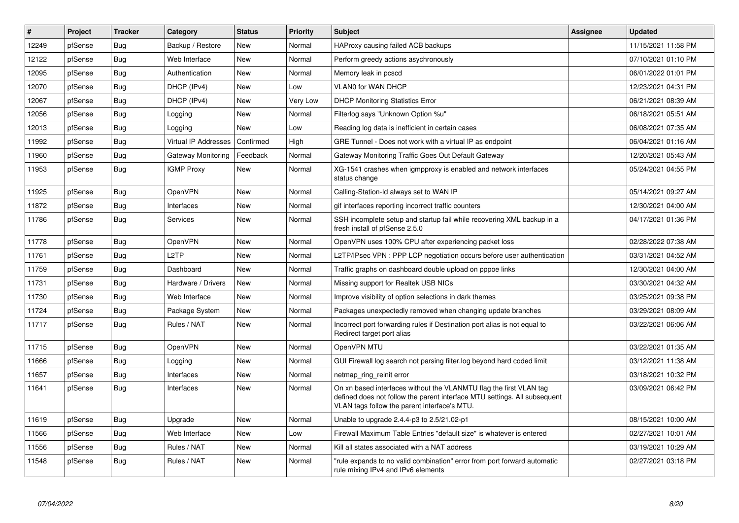| #     | Project | <b>Tracker</b> | Category                    | <b>Status</b> | <b>Priority</b> | <b>Subject</b>                                                                                                                                                                                  | Assignee | <b>Updated</b>      |
|-------|---------|----------------|-----------------------------|---------------|-----------------|-------------------------------------------------------------------------------------------------------------------------------------------------------------------------------------------------|----------|---------------------|
| 12249 | pfSense | Bug            | Backup / Restore            | New           | Normal          | HAProxy causing failed ACB backups                                                                                                                                                              |          | 11/15/2021 11:58 PM |
| 12122 | pfSense | Bug            | Web Interface               | New           | Normal          | Perform greedy actions asychronously                                                                                                                                                            |          | 07/10/2021 01:10 PM |
| 12095 | pfSense | Bug            | Authentication              | <b>New</b>    | Normal          | Memory leak in pcscd                                                                                                                                                                            |          | 06/01/2022 01:01 PM |
| 12070 | pfSense | Bug            | DHCP (IPv4)                 | New           | Low             | <b>VLAN0 for WAN DHCP</b>                                                                                                                                                                       |          | 12/23/2021 04:31 PM |
| 12067 | pfSense | Bug            | DHCP (IPv4)                 | New           | Very Low        | <b>DHCP Monitoring Statistics Error</b>                                                                                                                                                         |          | 06/21/2021 08:39 AM |
| 12056 | pfSense | <b>Bug</b>     | Logging                     | New           | Normal          | Filterlog says "Unknown Option %u"                                                                                                                                                              |          | 06/18/2021 05:51 AM |
| 12013 | pfSense | <b>Bug</b>     | Logging                     | <b>New</b>    | Low             | Reading log data is inefficient in certain cases                                                                                                                                                |          | 06/08/2021 07:35 AM |
| 11992 | pfSense | <b>Bug</b>     | <b>Virtual IP Addresses</b> | Confirmed     | High            | GRE Tunnel - Does not work with a virtual IP as endpoint                                                                                                                                        |          | 06/04/2021 01:16 AM |
| 11960 | pfSense | Bug            | Gateway Monitoring          | Feedback      | Normal          | Gateway Monitoring Traffic Goes Out Default Gateway                                                                                                                                             |          | 12/20/2021 05:43 AM |
| 11953 | pfSense | <b>Bug</b>     | <b>IGMP Proxy</b>           | <b>New</b>    | Normal          | XG-1541 crashes when igmpproxy is enabled and network interfaces<br>status change                                                                                                               |          | 05/24/2021 04:55 PM |
| 11925 | pfSense | <b>Bug</b>     | OpenVPN                     | <b>New</b>    | Normal          | Calling-Station-Id always set to WAN IP                                                                                                                                                         |          | 05/14/2021 09:27 AM |
| 11872 | pfSense | Bug            | Interfaces                  | <b>New</b>    | Normal          | gif interfaces reporting incorrect traffic counters                                                                                                                                             |          | 12/30/2021 04:00 AM |
| 11786 | pfSense | <b>Bug</b>     | <b>Services</b>             | <b>New</b>    | Normal          | SSH incomplete setup and startup fail while recovering XML backup in a<br>fresh install of pfSense 2.5.0                                                                                        |          | 04/17/2021 01:36 PM |
| 11778 | pfSense | <b>Bug</b>     | <b>OpenVPN</b>              | <b>New</b>    | Normal          | OpenVPN uses 100% CPU after experiencing packet loss                                                                                                                                            |          | 02/28/2022 07:38 AM |
| 11761 | pfSense | Bug            | L <sub>2</sub> TP           | <b>New</b>    | Normal          | L2TP/IPsec VPN : PPP LCP negotiation occurs before user authentication                                                                                                                          |          | 03/31/2021 04:52 AM |
| 11759 | pfSense | <b>Bug</b>     | Dashboard                   | New           | Normal          | Traffic graphs on dashboard double upload on pppoe links                                                                                                                                        |          | 12/30/2021 04:00 AM |
| 11731 | pfSense | Bug            | Hardware / Drivers          | New           | Normal          | Missing support for Realtek USB NICs                                                                                                                                                            |          | 03/30/2021 04:32 AM |
| 11730 | pfSense | <b>Bug</b>     | Web Interface               | New           | Normal          | Improve visibility of option selections in dark themes                                                                                                                                          |          | 03/25/2021 09:38 PM |
| 11724 | pfSense | Bug            | Package System              | New           | Normal          | Packages unexpectedly removed when changing update branches                                                                                                                                     |          | 03/29/2021 08:09 AM |
| 11717 | pfSense | <b>Bug</b>     | Rules / NAT                 | New           | Normal          | Incorrect port forwarding rules if Destination port alias is not equal to<br>Redirect target port alias                                                                                         |          | 03/22/2021 06:06 AM |
| 11715 | pfSense | Bug            | <b>OpenVPN</b>              | New           | Normal          | OpenVPN MTU                                                                                                                                                                                     |          | 03/22/2021 01:35 AM |
| 11666 | pfSense | Bug            | Logging                     | New           | Normal          | GUI Firewall log search not parsing filter log beyond hard coded limit                                                                                                                          |          | 03/12/2021 11:38 AM |
| 11657 | pfSense | <b>Bug</b>     | Interfaces                  | New           | Normal          | netmap_ring_reinit error                                                                                                                                                                        |          | 03/18/2021 10:32 PM |
| 11641 | pfSense | Bug            | Interfaces                  | New           | Normal          | On xn based interfaces without the VLANMTU flag the first VLAN tag<br>defined does not follow the parent interface MTU settings. All subsequent<br>VLAN tags follow the parent interface's MTU. |          | 03/09/2021 06:42 PM |
| 11619 | pfSense | Bug            | Upgrade                     | New           | Normal          | Unable to upgrade $2.4.4$ -p3 to $2.5/21.02$ -p1                                                                                                                                                |          | 08/15/2021 10:00 AM |
| 11566 | pfSense | <b>Bug</b>     | Web Interface               | New           | Low             | Firewall Maximum Table Entries "default size" is whatever is entered                                                                                                                            |          | 02/27/2021 10:01 AM |
| 11556 | pfSense | <b>Bug</b>     | Rules / NAT                 | New           | Normal          | Kill all states associated with a NAT address                                                                                                                                                   |          | 03/19/2021 10:29 AM |
| 11548 | pfSense | <b>Bug</b>     | Rules / NAT                 | <b>New</b>    | Normal          | "rule expands to no valid combination" error from port forward automatic<br>rule mixing IPv4 and IPv6 elements                                                                                  |          | 02/27/2021 03:18 PM |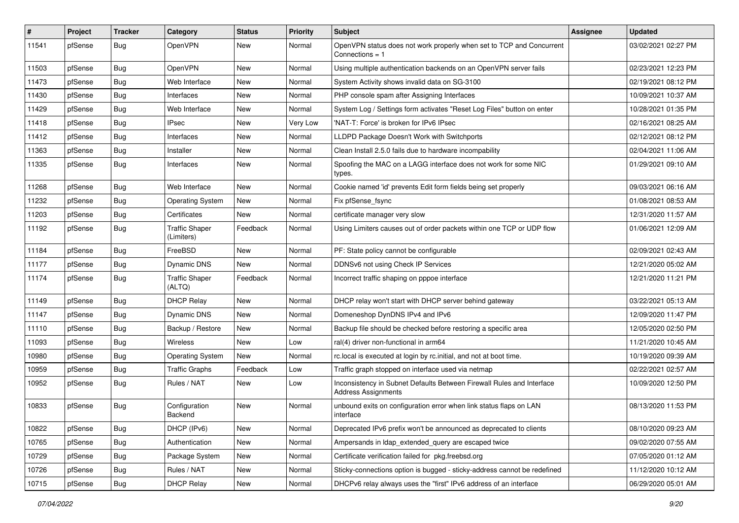| #     | Project | <b>Tracker</b> | Category                            | <b>Status</b> | <b>Priority</b> | <b>Subject</b>                                                                                      | Assignee | <b>Updated</b>      |
|-------|---------|----------------|-------------------------------------|---------------|-----------------|-----------------------------------------------------------------------------------------------------|----------|---------------------|
| 11541 | pfSense | Bug            | OpenVPN                             | New           | Normal          | OpenVPN status does not work properly when set to TCP and Concurrent<br>Connections = 1             |          | 03/02/2021 02:27 PM |
| 11503 | pfSense | <b>Bug</b>     | OpenVPN                             | <b>New</b>    | Normal          | Using multiple authentication backends on an OpenVPN server fails                                   |          | 02/23/2021 12:23 PM |
| 11473 | pfSense | <b>Bug</b>     | Web Interface                       | New           | Normal          | System Activity shows invalid data on SG-3100                                                       |          | 02/19/2021 08:12 PM |
| 11430 | pfSense | <b>Bug</b>     | Interfaces                          | <b>New</b>    | Normal          | PHP console spam after Assigning Interfaces                                                         |          | 10/09/2021 10:37 AM |
| 11429 | pfSense | Bug            | Web Interface                       | New           | Normal          | System Log / Settings form activates "Reset Log Files" button on enter                              |          | 10/28/2021 01:35 PM |
| 11418 | pfSense | <b>Bug</b>     | IPsec                               | New           | Very Low        | 'NAT-T: Force' is broken for IPv6 IPsec                                                             |          | 02/16/2021 08:25 AM |
| 11412 | pfSense | Bug            | Interfaces                          | <b>New</b>    | Normal          | LLDPD Package Doesn't Work with Switchports                                                         |          | 02/12/2021 08:12 PM |
| 11363 | pfSense | Bug            | Installer                           | New           | Normal          | Clean Install 2.5.0 fails due to hardware incompability                                             |          | 02/04/2021 11:06 AM |
| 11335 | pfSense | <b>Bug</b>     | Interfaces                          | New           | Normal          | Spoofing the MAC on a LAGG interface does not work for some NIC<br>types.                           |          | 01/29/2021 09:10 AM |
| 11268 | pfSense | Bug            | Web Interface                       | <b>New</b>    | Normal          | Cookie named 'id' prevents Edit form fields being set properly                                      |          | 09/03/2021 06:16 AM |
| 11232 | pfSense | <b>Bug</b>     | <b>Operating System</b>             | New           | Normal          | Fix pfSense_fsync                                                                                   |          | 01/08/2021 08:53 AM |
| 11203 | pfSense | Bug            | Certificates                        | <b>New</b>    | Normal          | certificate manager very slow                                                                       |          | 12/31/2020 11:57 AM |
| 11192 | pfSense | Bug            | <b>Traffic Shaper</b><br>(Limiters) | Feedback      | Normal          | Using Limiters causes out of order packets within one TCP or UDP flow                               |          | 01/06/2021 12:09 AM |
| 11184 | pfSense | Bug            | FreeBSD                             | New           | Normal          | PF: State policy cannot be configurable                                                             |          | 02/09/2021 02:43 AM |
| 11177 | pfSense | Bug            | <b>Dynamic DNS</b>                  | <b>New</b>    | Normal          | DDNSv6 not using Check IP Services                                                                  |          | 12/21/2020 05:02 AM |
| 11174 | pfSense | <b>Bug</b>     | <b>Traffic Shaper</b><br>(ALTQ)     | Feedback      | Normal          | Incorrect traffic shaping on pppoe interface                                                        |          | 12/21/2020 11:21 PM |
| 11149 | pfSense | <b>Bug</b>     | <b>DHCP Relay</b>                   | New           | Normal          | DHCP relay won't start with DHCP server behind gateway                                              |          | 03/22/2021 05:13 AM |
| 11147 | pfSense | Bug            | <b>Dynamic DNS</b>                  | New           | Normal          | Domeneshop DynDNS IPv4 and IPv6                                                                     |          | 12/09/2020 11:47 PM |
| 11110 | pfSense | Bug            | Backup / Restore                    | New           | Normal          | Backup file should be checked before restoring a specific area                                      |          | 12/05/2020 02:50 PM |
| 11093 | pfSense | Bug            | Wireless                            | New           | Low             | ral(4) driver non-functional in arm64                                                               |          | 11/21/2020 10:45 AM |
| 10980 | pfSense | <b>Bug</b>     | <b>Operating System</b>             | New           | Normal          | rc.local is executed at login by rc.initial, and not at boot time.                                  |          | 10/19/2020 09:39 AM |
| 10959 | pfSense | <b>Bug</b>     | <b>Traffic Graphs</b>               | Feedback      | Low             | Traffic graph stopped on interface used via netmap                                                  |          | 02/22/2021 02:57 AM |
| 10952 | pfSense | <b>Bug</b>     | Rules / NAT                         | <b>New</b>    | Low             | Inconsistency in Subnet Defaults Between Firewall Rules and Interface<br><b>Address Assignments</b> |          | 10/09/2020 12:50 PM |
| 10833 | pfSense | <b>Bug</b>     | Configuration<br>Backend            | New           | Normal          | unbound exits on configuration error when link status flaps on LAN<br>interface                     |          | 08/13/2020 11:53 PM |
| 10822 | pfSense | Bug            | DHCP (IPv6)                         | New           | Normal          | Deprecated IPv6 prefix won't be announced as deprecated to clients                                  |          | 08/10/2020 09:23 AM |
| 10765 | pfSense | <b>Bug</b>     | Authentication                      | New           | Normal          | Ampersands in Idap extended query are escaped twice                                                 |          | 09/02/2020 07:55 AM |
| 10729 | pfSense | Bug            | Package System                      | New           | Normal          | Certificate verification failed for pkg.freebsd.org                                                 |          | 07/05/2020 01:12 AM |
| 10726 | pfSense | <b>Bug</b>     | Rules / NAT                         | New           | Normal          | Sticky-connections option is bugged - sticky-address cannot be redefined                            |          | 11/12/2020 10:12 AM |
| 10715 | pfSense | Bug            | <b>DHCP Relay</b>                   | New           | Normal          | DHCPv6 relay always uses the "first" IPv6 address of an interface                                   |          | 06/29/2020 05:01 AM |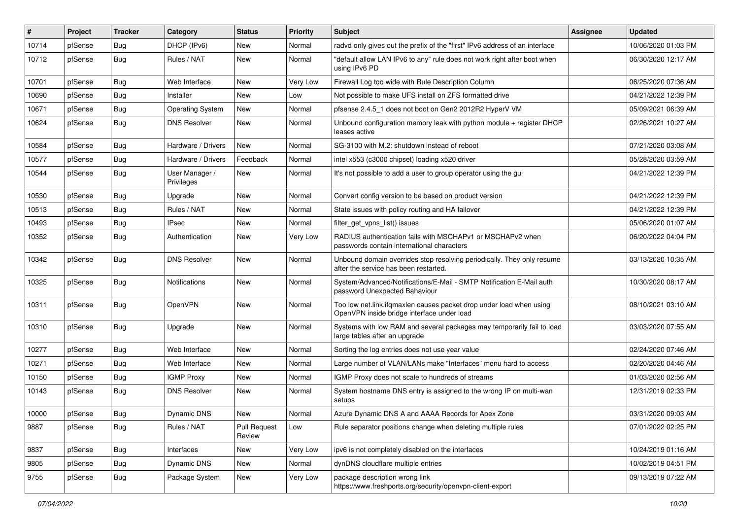| #     | Project | <b>Tracker</b> | Category                     | <b>Status</b>                 | <b>Priority</b> | Subject                                                                                                           | <b>Assignee</b> | <b>Updated</b>      |
|-------|---------|----------------|------------------------------|-------------------------------|-----------------|-------------------------------------------------------------------------------------------------------------------|-----------------|---------------------|
| 10714 | pfSense | <b>Bug</b>     | DHCP (IPv6)                  | New                           | Normal          | radyd only gives out the prefix of the "first" IPv6 address of an interface                                       |                 | 10/06/2020 01:03 PM |
| 10712 | pfSense | Bug            | Rules / NAT                  | New                           | Normal          | "default allow LAN IPv6 to any" rule does not work right after boot when<br>using IPv6 PD                         |                 | 06/30/2020 12:17 AM |
| 10701 | pfSense | <b>Bug</b>     | Web Interface                | New                           | Very Low        | Firewall Log too wide with Rule Description Column                                                                |                 | 06/25/2020 07:36 AM |
| 10690 | pfSense | <b>Bug</b>     | Installer                    | <b>New</b>                    | Low             | Not possible to make UFS install on ZFS formatted drive                                                           |                 | 04/21/2022 12:39 PM |
| 10671 | pfSense | Bug            | <b>Operating System</b>      | New                           | Normal          | pfsense 2.4.5_1 does not boot on Gen2 2012R2 HyperV VM                                                            |                 | 05/09/2021 06:39 AM |
| 10624 | pfSense | <b>Bug</b>     | <b>DNS Resolver</b>          | New                           | Normal          | Unbound configuration memory leak with python module + register DHCP<br>leases active                             |                 | 02/26/2021 10:27 AM |
| 10584 | pfSense | <b>Bug</b>     | Hardware / Drivers           | <b>New</b>                    | Normal          | SG-3100 with M.2: shutdown instead of reboot                                                                      |                 | 07/21/2020 03:08 AM |
| 10577 | pfSense | <b>Bug</b>     | Hardware / Drivers           | Feedback                      | Normal          | intel x553 (c3000 chipset) loading x520 driver                                                                    |                 | 05/28/2020 03:59 AM |
| 10544 | pfSense | Bug            | User Manager /<br>Privileges | New                           | Normal          | It's not possible to add a user to group operator using the gui                                                   |                 | 04/21/2022 12:39 PM |
| 10530 | pfSense | <b>Bug</b>     | Upgrade                      | <b>New</b>                    | Normal          | Convert config version to be based on product version                                                             |                 | 04/21/2022 12:39 PM |
| 10513 | pfSense | <b>Bug</b>     | Rules / NAT                  | New                           | Normal          | State issues with policy routing and HA failover                                                                  |                 | 04/21/2022 12:39 PM |
| 10493 | pfSense | <b>Bug</b>     | IPsec                        | New                           | Normal          | filter_get_vpns_list() issues                                                                                     |                 | 05/06/2020 01:07 AM |
| 10352 | pfSense | <b>Bug</b>     | Authentication               | New                           | Very Low        | RADIUS authentication fails with MSCHAPv1 or MSCHAPv2 when<br>passwords contain international characters          |                 | 06/20/2022 04:04 PM |
| 10342 | pfSense | <b>Bug</b>     | <b>DNS Resolver</b>          | New                           | Normal          | Unbound domain overrides stop resolving periodically. They only resume<br>after the service has been restarted.   |                 | 03/13/2020 10:35 AM |
| 10325 | pfSense | <b>Bug</b>     | Notifications                | New                           | Normal          | System/Advanced/Notifications/E-Mail - SMTP Notification E-Mail auth<br>password Unexpected Bahaviour             |                 | 10/30/2020 08:17 AM |
| 10311 | pfSense | <b>Bug</b>     | OpenVPN                      | New                           | Normal          | Too low net.link.ifqmaxlen causes packet drop under load when using<br>OpenVPN inside bridge interface under load |                 | 08/10/2021 03:10 AM |
| 10310 | pfSense | <b>Bug</b>     | Upgrade                      | New                           | Normal          | Systems with low RAM and several packages may temporarily fail to load<br>large tables after an upgrade           |                 | 03/03/2020 07:55 AM |
| 10277 | pfSense | Bug            | Web Interface                | <b>New</b>                    | Normal          | Sorting the log entries does not use year value                                                                   |                 | 02/24/2020 07:46 AM |
| 10271 | pfSense | <b>Bug</b>     | Web Interface                | New                           | Normal          | Large number of VLAN/LANs make "Interfaces" menu hard to access                                                   |                 | 02/20/2020 04:46 AM |
| 10150 | pfSense | <b>Bug</b>     | <b>IGMP Proxy</b>            | New                           | Normal          | IGMP Proxy does not scale to hundreds of streams                                                                  |                 | 01/03/2020 02:56 AM |
| 10143 | pfSense | Bug            | <b>DNS Resolver</b>          | New                           | Normal          | System hostname DNS entry is assigned to the wrong IP on multi-wan<br>setups                                      |                 | 12/31/2019 02:33 PM |
| 10000 | pfSense | <b>Bug</b>     | Dynamic DNS                  | New                           | Normal          | Azure Dynamic DNS A and AAAA Records for Apex Zone                                                                |                 | 03/31/2020 09:03 AM |
| 9887  | pfSense | <b>Bug</b>     | Rules / NAT                  | <b>Pull Request</b><br>Review | Low             | Rule separator positions change when deleting multiple rules                                                      |                 | 07/01/2022 02:25 PM |
| 9837  | pfSense | <b>Bug</b>     | Interfaces                   | New                           | Very Low        | ipv6 is not completely disabled on the interfaces                                                                 |                 | 10/24/2019 01:16 AM |
| 9805  | pfSense | <b>Bug</b>     | Dynamic DNS                  | New                           | Normal          | dynDNS cloudflare multiple entries                                                                                |                 | 10/02/2019 04:51 PM |
| 9755  | pfSense | Bug            | Package System               | New                           | Very Low        | package description wrong link<br>https://www.freshports.org/security/openvpn-client-export                       |                 | 09/13/2019 07:22 AM |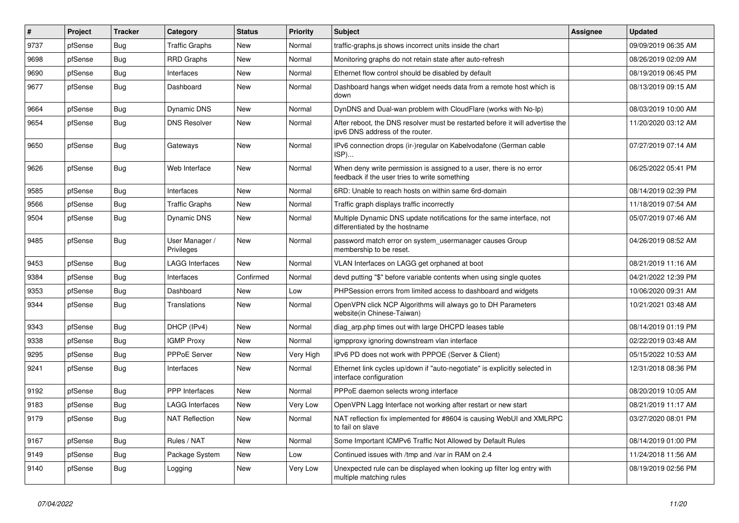| #    | Project | <b>Tracker</b> | Category                     | <b>Status</b> | <b>Priority</b> | <b>Subject</b>                                                                                                       | <b>Assignee</b> | <b>Updated</b>      |
|------|---------|----------------|------------------------------|---------------|-----------------|----------------------------------------------------------------------------------------------------------------------|-----------------|---------------------|
| 9737 | pfSense | <b>Bug</b>     | <b>Traffic Graphs</b>        | <b>New</b>    | Normal          | traffic-graphs.js shows incorrect units inside the chart                                                             |                 | 09/09/2019 06:35 AM |
| 9698 | pfSense | <b>Bug</b>     | <b>RRD Graphs</b>            | <b>New</b>    | Normal          | Monitoring graphs do not retain state after auto-refresh                                                             |                 | 08/26/2019 02:09 AM |
| 9690 | pfSense | <b>Bug</b>     | Interfaces                   | New           | Normal          | Ethernet flow control should be disabled by default                                                                  |                 | 08/19/2019 06:45 PM |
| 9677 | pfSense | <b>Bug</b>     | Dashboard                    | New           | Normal          | Dashboard hangs when widget needs data from a remote host which is<br>down                                           |                 | 08/13/2019 09:15 AM |
| 9664 | pfSense | <b>Bug</b>     | Dynamic DNS                  | <b>New</b>    | Normal          | DynDNS and Dual-wan problem with CloudFlare (works with No-Ip)                                                       |                 | 08/03/2019 10:00 AM |
| 9654 | pfSense | Bug            | <b>DNS Resolver</b>          | New           | Normal          | After reboot, the DNS resolver must be restarted before it will advertise the<br>ipv6 DNS address of the router.     |                 | 11/20/2020 03:12 AM |
| 9650 | pfSense | Bug            | Gateways                     | <b>New</b>    | Normal          | IPv6 connection drops (ir-)regular on Kabelvodafone (German cable<br>ISP)                                            |                 | 07/27/2019 07:14 AM |
| 9626 | pfSense | Bug            | Web Interface                | New           | Normal          | When deny write permission is assigned to a user, there is no error<br>feedback if the user tries to write something |                 | 06/25/2022 05:41 PM |
| 9585 | pfSense | <b>Bug</b>     | Interfaces                   | New           | Normal          | 6RD: Unable to reach hosts on within same 6rd-domain                                                                 |                 | 08/14/2019 02:39 PM |
| 9566 | pfSense | <b>Bug</b>     | <b>Traffic Graphs</b>        | New           | Normal          | Traffic graph displays traffic incorrectly                                                                           |                 | 11/18/2019 07:54 AM |
| 9504 | pfSense | <b>Bug</b>     | Dynamic DNS                  | New           | Normal          | Multiple Dynamic DNS update notifications for the same interface, not<br>differentiated by the hostname              |                 | 05/07/2019 07:46 AM |
| 9485 | pfSense | <b>Bug</b>     | User Manager /<br>Privileges | <b>New</b>    | Normal          | password match error on system_usermanager causes Group<br>membership to be reset.                                   |                 | 04/26/2019 08:52 AM |
| 9453 | pfSense | Bug            | <b>LAGG Interfaces</b>       | New           | Normal          | VLAN Interfaces on LAGG get orphaned at boot                                                                         |                 | 08/21/2019 11:16 AM |
| 9384 | pfSense | Bug            | Interfaces                   | Confirmed     | Normal          | devd putting "\$" before variable contents when using single quotes                                                  |                 | 04/21/2022 12:39 PM |
| 9353 | pfSense | <b>Bug</b>     | Dashboard                    | New           | Low             | PHPSession errors from limited access to dashboard and widgets                                                       |                 | 10/06/2020 09:31 AM |
| 9344 | pfSense | <b>Bug</b>     | Translations                 | <b>New</b>    | Normal          | OpenVPN click NCP Algorithms will always go to DH Parameters<br>website(in Chinese-Taiwan)                           |                 | 10/21/2021 03:48 AM |
| 9343 | pfSense | Bug            | DHCP (IPv4)                  | New           | Normal          | diag arp.php times out with large DHCPD leases table                                                                 |                 | 08/14/2019 01:19 PM |
| 9338 | pfSense | Bug            | <b>IGMP Proxy</b>            | New           | Normal          | igmpproxy ignoring downstream vlan interface                                                                         |                 | 02/22/2019 03:48 AM |
| 9295 | pfSense | <b>Bug</b>     | <b>PPPoE Server</b>          | <b>New</b>    | Very High       | IPv6 PD does not work with PPPOE (Server & Client)                                                                   |                 | 05/15/2022 10:53 AM |
| 9241 | pfSense | Bug            | Interfaces                   | <b>New</b>    | Normal          | Ethernet link cycles up/down if "auto-negotiate" is explicitly selected in<br>interface configuration                |                 | 12/31/2018 08:36 PM |
| 9192 | pfSense | <b>Bug</b>     | PPP Interfaces               | New           | Normal          | PPPoE daemon selects wrong interface                                                                                 |                 | 08/20/2019 10:05 AM |
| 9183 | pfSense | <b>Bug</b>     | <b>LAGG Interfaces</b>       | New           | Very Low        | OpenVPN Lagg Interface not working after restart or new start                                                        |                 | 08/21/2019 11:17 AM |
| 9179 | pfSense | <b>Bug</b>     | <b>NAT Reflection</b>        | New           | Normal          | NAT reflection fix implemented for #8604 is causing WebUI and XMLRPC<br>to fail on slave                             |                 | 03/27/2020 08:01 PM |
| 9167 | pfSense | <b>Bug</b>     | Rules / NAT                  | <b>New</b>    | Normal          | Some Important ICMPv6 Traffic Not Allowed by Default Rules                                                           |                 | 08/14/2019 01:00 PM |
| 9149 | pfSense | <b>Bug</b>     | Package System               | New           | Low             | Continued issues with /tmp and /var in RAM on 2.4                                                                    |                 | 11/24/2018 11:56 AM |
| 9140 | pfSense | <b>Bug</b>     | Logging                      | New           | Very Low        | Unexpected rule can be displayed when looking up filter log entry with<br>multiple matching rules                    |                 | 08/19/2019 02:56 PM |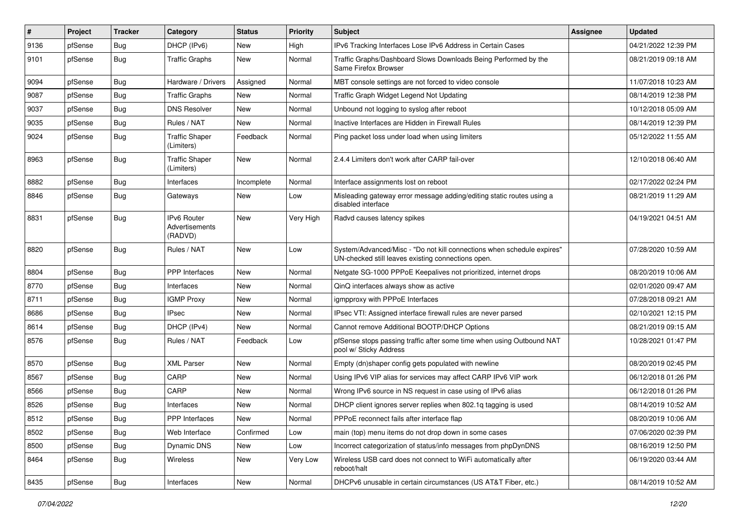| ∦    | Project | <b>Tracker</b> | Category                                 | <b>Status</b> | <b>Priority</b> | Subject                                                                                                                      | <b>Assignee</b> | <b>Updated</b>      |
|------|---------|----------------|------------------------------------------|---------------|-----------------|------------------------------------------------------------------------------------------------------------------------------|-----------------|---------------------|
| 9136 | pfSense | <b>Bug</b>     | DHCP (IPv6)                              | <b>New</b>    | High            | IPv6 Tracking Interfaces Lose IPv6 Address in Certain Cases                                                                  |                 | 04/21/2022 12:39 PM |
| 9101 | pfSense | Bug            | <b>Traffic Graphs</b>                    | New           | Normal          | Traffic Graphs/Dashboard Slows Downloads Being Performed by the<br>Same Firefox Browser                                      |                 | 08/21/2019 09:18 AM |
| 9094 | pfSense | Bug            | Hardware / Drivers                       | Assigned      | Normal          | MBT console settings are not forced to video console                                                                         |                 | 11/07/2018 10:23 AM |
| 9087 | pfSense | Bug            | <b>Traffic Graphs</b>                    | New           | Normal          | Traffic Graph Widget Legend Not Updating                                                                                     |                 | 08/14/2019 12:38 PM |
| 9037 | pfSense | <b>Bug</b>     | <b>DNS Resolver</b>                      | New           | Normal          | Unbound not logging to syslog after reboot                                                                                   |                 | 10/12/2018 05:09 AM |
| 9035 | pfSense | Bug            | Rules / NAT                              | New           | Normal          | Inactive Interfaces are Hidden in Firewall Rules                                                                             |                 | 08/14/2019 12:39 PM |
| 9024 | pfSense | Bug            | <b>Traffic Shaper</b><br>(Limiters)      | Feedback      | Normal          | Ping packet loss under load when using limiters                                                                              |                 | 05/12/2022 11:55 AM |
| 8963 | pfSense | Bug            | <b>Traffic Shaper</b><br>(Limiters)      | New           | Normal          | 2.4.4 Limiters don't work after CARP fail-over                                                                               |                 | 12/10/2018 06:40 AM |
| 8882 | pfSense | Bug            | Interfaces                               | Incomplete    | Normal          | Interface assignments lost on reboot                                                                                         |                 | 02/17/2022 02:24 PM |
| 8846 | pfSense | <b>Bug</b>     | Gateways                                 | New           | Low             | Misleading gateway error message adding/editing static routes using a<br>disabled interface                                  |                 | 08/21/2019 11:29 AM |
| 8831 | pfSense | Bug            | IPv6 Router<br>Advertisements<br>(RADVD) | New           | Very High       | Radvd causes latency spikes                                                                                                  |                 | 04/19/2021 04:51 AM |
| 8820 | pfSense | Bug            | Rules / NAT                              | New           | Low             | System/Advanced/Misc - "Do not kill connections when schedule expires"<br>UN-checked still leaves existing connections open. |                 | 07/28/2020 10:59 AM |
| 8804 | pfSense | Bug            | <b>PPP</b> Interfaces                    | New           | Normal          | Netgate SG-1000 PPPoE Keepalives not prioritized, internet drops                                                             |                 | 08/20/2019 10:06 AM |
| 8770 | pfSense | <b>Bug</b>     | Interfaces                               | New           | Normal          | QinQ interfaces always show as active                                                                                        |                 | 02/01/2020 09:47 AM |
| 8711 | pfSense | Bug            | <b>IGMP Proxy</b>                        | New           | Normal          | igmpproxy with PPPoE Interfaces                                                                                              |                 | 07/28/2018 09:21 AM |
| 8686 | pfSense | Bug            | <b>IPsec</b>                             | New           | Normal          | IPsec VTI: Assigned interface firewall rules are never parsed                                                                |                 | 02/10/2021 12:15 PM |
| 8614 | pfSense | <b>Bug</b>     | DHCP (IPv4)                              | New           | Normal          | Cannot remove Additional BOOTP/DHCP Options                                                                                  |                 | 08/21/2019 09:15 AM |
| 8576 | pfSense | Bug            | Rules / NAT                              | Feedback      | Low             | pfSense stops passing traffic after some time when using Outbound NAT<br>pool w/ Sticky Address                              |                 | 10/28/2021 01:47 PM |
| 8570 | pfSense | Bug            | <b>XML Parser</b>                        | New           | Normal          | Empty (dn)shaper config gets populated with newline                                                                          |                 | 08/20/2019 02:45 PM |
| 8567 | pfSense | <b>Bug</b>     | CARP                                     | New           | Normal          | Using IPv6 VIP alias for services may affect CARP IPv6 VIP work                                                              |                 | 06/12/2018 01:26 PM |
| 8566 | pfSense | Bug            | CARP                                     | New           | Normal          | Wrong IPv6 source in NS request in case using of IPv6 alias                                                                  |                 | 06/12/2018 01:26 PM |
| 8526 | pfSense | <b>Bug</b>     | Interfaces                               | New           | Normal          | DHCP client ignores server replies when 802.1q tagging is used                                                               |                 | 08/14/2019 10:52 AM |
| 8512 | pfSense | Bug            | <b>PPP</b> Interfaces                    | New           | Normal          | PPPoE reconnect fails after interface flap                                                                                   |                 | 08/20/2019 10:06 AM |
| 8502 | pfSense | <b>Bug</b>     | Web Interface                            | Confirmed     | Low             | main (top) menu items do not drop down in some cases                                                                         |                 | 07/06/2020 02:39 PM |
| 8500 | pfSense | <b>Bug</b>     | Dynamic DNS                              | New           | Low             | Incorrect categorization of status/info messages from phpDynDNS                                                              |                 | 08/16/2019 12:50 PM |
| 8464 | pfSense | <b>Bug</b>     | Wireless                                 | New           | Very Low        | Wireless USB card does not connect to WiFi automatically after<br>reboot/halt                                                |                 | 06/19/2020 03:44 AM |
| 8435 | pfSense | Bug            | Interfaces                               | New           | Normal          | DHCPv6 unusable in certain circumstances (US AT&T Fiber, etc.)                                                               |                 | 08/14/2019 10:52 AM |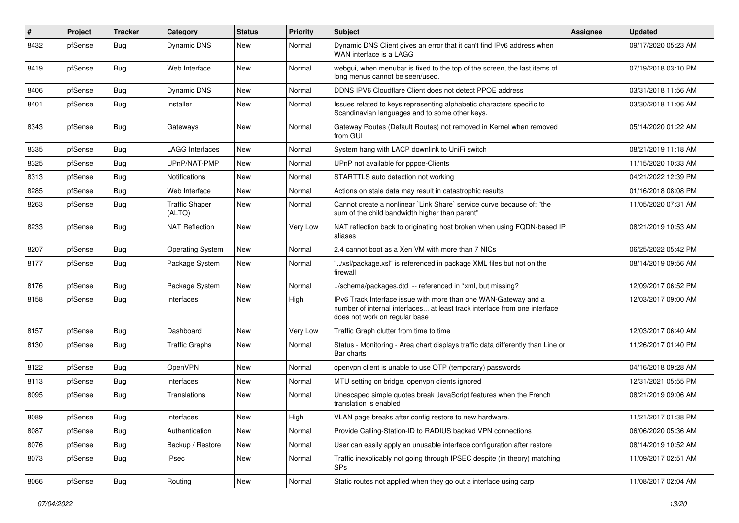| #    | Project | <b>Tracker</b> | Category                        | <b>Status</b> | <b>Priority</b> | <b>Subject</b>                                                                                                                                                                | Assignee | <b>Updated</b>      |
|------|---------|----------------|---------------------------------|---------------|-----------------|-------------------------------------------------------------------------------------------------------------------------------------------------------------------------------|----------|---------------------|
| 8432 | pfSense | Bug            | Dynamic DNS                     | New           | Normal          | Dynamic DNS Client gives an error that it can't find IPv6 address when<br>WAN interface is a LAGG                                                                             |          | 09/17/2020 05:23 AM |
| 8419 | pfSense | Bug            | Web Interface                   | New           | Normal          | webgui, when menubar is fixed to the top of the screen, the last items of<br>long menus cannot be seen/used.                                                                  |          | 07/19/2018 03:10 PM |
| 8406 | pfSense | Bug            | <b>Dynamic DNS</b>              | New           | Normal          | DDNS IPV6 Cloudflare Client does not detect PPOE address                                                                                                                      |          | 03/31/2018 11:56 AM |
| 8401 | pfSense | Bug            | Installer                       | New           | Normal          | Issues related to keys representing alphabetic characters specific to<br>Scandinavian languages and to some other keys.                                                       |          | 03/30/2018 11:06 AM |
| 8343 | pfSense | Bug            | Gateways                        | New           | Normal          | Gateway Routes (Default Routes) not removed in Kernel when removed<br>from GUI                                                                                                |          | 05/14/2020 01:22 AM |
| 8335 | pfSense | <b>Bug</b>     | <b>LAGG Interfaces</b>          | New           | Normal          | System hang with LACP downlink to UniFi switch                                                                                                                                |          | 08/21/2019 11:18 AM |
| 8325 | pfSense | Bug            | UPnP/NAT-PMP                    | New           | Normal          | UPnP not available for pppoe-Clients                                                                                                                                          |          | 11/15/2020 10:33 AM |
| 8313 | pfSense | <b>Bug</b>     | <b>Notifications</b>            | New           | Normal          | STARTTLS auto detection not working                                                                                                                                           |          | 04/21/2022 12:39 PM |
| 8285 | pfSense | <b>Bug</b>     | Web Interface                   | New           | Normal          | Actions on stale data may result in catastrophic results                                                                                                                      |          | 01/16/2018 08:08 PM |
| 8263 | pfSense | Bug            | <b>Traffic Shaper</b><br>(ALTQ) | New           | Normal          | Cannot create a nonlinear `Link Share` service curve because of: "the<br>sum of the child bandwidth higher than parent"                                                       |          | 11/05/2020 07:31 AM |
| 8233 | pfSense | Bug            | <b>NAT Reflection</b>           | New           | Very Low        | NAT reflection back to originating host broken when using FQDN-based IP<br>aliases                                                                                            |          | 08/21/2019 10:53 AM |
| 8207 | pfSense | <b>Bug</b>     | <b>Operating System</b>         | New           | Normal          | 2.4 cannot boot as a Xen VM with more than 7 NICs                                                                                                                             |          | 06/25/2022 05:42 PM |
| 8177 | pfSense | Bug            | Package System                  | New           | Normal          | "/xsl/package.xsl" is referenced in package XML files but not on the<br>firewall                                                                                              |          | 08/14/2019 09:56 AM |
| 8176 | pfSense | Bug            | Package System                  | <b>New</b>    | Normal          | /schema/packages.dtd -- referenced in *xml, but missing?                                                                                                                      |          | 12/09/2017 06:52 PM |
| 8158 | pfSense | Bug            | Interfaces                      | New           | High            | IPv6 Track Interface issue with more than one WAN-Gateway and a<br>number of internal interfaces at least track interface from one interface<br>does not work on regular base |          | 12/03/2017 09:00 AM |
| 8157 | pfSense | Bug            | Dashboard                       | <b>New</b>    | Very Low        | Traffic Graph clutter from time to time                                                                                                                                       |          | 12/03/2017 06:40 AM |
| 8130 | pfSense | <b>Bug</b>     | <b>Traffic Graphs</b>           | New           | Normal          | Status - Monitoring - Area chart displays traffic data differently than Line or<br>Bar charts                                                                                 |          | 11/26/2017 01:40 PM |
| 8122 | pfSense | Bug            | OpenVPN                         | New           | Normal          | openvpn client is unable to use OTP (temporary) passwords                                                                                                                     |          | 04/16/2018 09:28 AM |
| 8113 | pfSense | Bug            | Interfaces                      | New           | Normal          | MTU setting on bridge, openvpn clients ignored                                                                                                                                |          | 12/31/2021 05:55 PM |
| 8095 | pfSense | Bug            | <b>Translations</b>             | New           | Normal          | Unescaped simple quotes break JavaScript features when the French<br>translation is enabled                                                                                   |          | 08/21/2019 09:06 AM |
| 8089 | pfSense | <b>Bug</b>     | Interfaces                      | New           | High            | VLAN page breaks after config restore to new hardware.                                                                                                                        |          | 11/21/2017 01:38 PM |
| 8087 | pfSense | Bug            | Authentication                  | New           | Normal          | Provide Calling-Station-ID to RADIUS backed VPN connections                                                                                                                   |          | 06/06/2020 05:36 AM |
| 8076 | pfSense | <b>Bug</b>     | Backup / Restore                | New           | Normal          | User can easily apply an unusable interface configuration after restore                                                                                                       |          | 08/14/2019 10:52 AM |
| 8073 | pfSense | <b>Bug</b>     | <b>IPsec</b>                    | New           | Normal          | Traffic inexplicably not going through IPSEC despite (in theory) matching<br>SPs                                                                                              |          | 11/09/2017 02:51 AM |
| 8066 | pfSense | <b>Bug</b>     | Routing                         | New           | Normal          | Static routes not applied when they go out a interface using carp                                                                                                             |          | 11/08/2017 02:04 AM |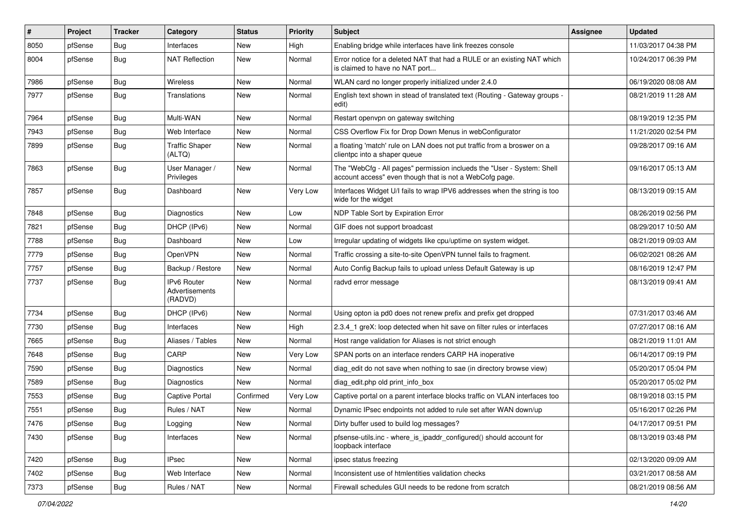| $\vert$ # | Project | <b>Tracker</b> | Category                                        | <b>Status</b> | <b>Priority</b> | Subject                                                                                                                           | <b>Assignee</b> | <b>Updated</b>      |
|-----------|---------|----------------|-------------------------------------------------|---------------|-----------------|-----------------------------------------------------------------------------------------------------------------------------------|-----------------|---------------------|
| 8050      | pfSense | <b>Bug</b>     | Interfaces                                      | New           | High            | Enabling bridge while interfaces have link freezes console                                                                        |                 | 11/03/2017 04:38 PM |
| 8004      | pfSense | Bug            | <b>NAT Reflection</b>                           | New           | Normal          | Error notice for a deleted NAT that had a RULE or an existing NAT which<br>is claimed to have no NAT port                         |                 | 10/24/2017 06:39 PM |
| 7986      | pfSense | Bug            | Wireless                                        | <b>New</b>    | Normal          | WLAN card no longer properly initialized under 2.4.0                                                                              |                 | 06/19/2020 08:08 AM |
| 7977      | pfSense | <b>Bug</b>     | Translations                                    | New           | Normal          | English text shown in stead of translated text (Routing - Gateway groups -<br>edit)                                               |                 | 08/21/2019 11:28 AM |
| 7964      | pfSense | Bug            | Multi-WAN                                       | New           | Normal          | Restart openvpn on gateway switching                                                                                              |                 | 08/19/2019 12:35 PM |
| 7943      | pfSense | Bug            | Web Interface                                   | <b>New</b>    | Normal          | CSS Overflow Fix for Drop Down Menus in webConfigurator                                                                           |                 | 11/21/2020 02:54 PM |
| 7899      | pfSense | <b>Bug</b>     | <b>Traffic Shaper</b><br>(ALTQ)                 | New           | Normal          | a floating 'match' rule on LAN does not put traffic from a broswer on a<br>clientpc into a shaper queue                           |                 | 09/28/2017 09:16 AM |
| 7863      | pfSense | Bug            | User Manager /<br>Privileges                    | New           | Normal          | The "WebCfg - All pages" permission inclueds the "User - System: Shell<br>account access" even though that is not a WebCofg page. |                 | 09/16/2017 05:13 AM |
| 7857      | pfSense | Bug            | Dashboard                                       | <b>New</b>    | Very Low        | Interfaces Widget U/I fails to wrap IPV6 addresses when the string is too<br>wide for the widget                                  |                 | 08/13/2019 09:15 AM |
| 7848      | pfSense | Bug            | Diagnostics                                     | <b>New</b>    | Low             | NDP Table Sort by Expiration Error                                                                                                |                 | 08/26/2019 02:56 PM |
| 7821      | pfSense | Bug            | DHCP (IPv6)                                     | New           | Normal          | GIF does not support broadcast                                                                                                    |                 | 08/29/2017 10:50 AM |
| 7788      | pfSense | Bug            | Dashboard                                       | <b>New</b>    | Low             | Irregular updating of widgets like cpu/uptime on system widget.                                                                   |                 | 08/21/2019 09:03 AM |
| 7779      | pfSense | <b>Bug</b>     | OpenVPN                                         | New           | Normal          | Traffic crossing a site-to-site OpenVPN tunnel fails to fragment.                                                                 |                 | 06/02/2021 08:26 AM |
| 7757      | pfSense | <b>Bug</b>     | Backup / Restore                                | <b>New</b>    | Normal          | Auto Config Backup fails to upload unless Default Gateway is up                                                                   |                 | 08/16/2019 12:47 PM |
| 7737      | pfSense | Bug            | <b>IPv6 Router</b><br>Advertisements<br>(RADVD) | New           | Normal          | radvd error message                                                                                                               |                 | 08/13/2019 09:41 AM |
| 7734      | pfSense | Bug            | DHCP (IPv6)                                     | <b>New</b>    | Normal          | Using opton ia pd0 does not renew prefix and prefix get dropped                                                                   |                 | 07/31/2017 03:46 AM |
| 7730      | pfSense | Bug            | Interfaces                                      | New           | High            | 2.3.4_1 greX: loop detected when hit save on filter rules or interfaces                                                           |                 | 07/27/2017 08:16 AM |
| 7665      | pfSense | Bug            | Aliases / Tables                                | <b>New</b>    | Normal          | Host range validation for Aliases is not strict enough                                                                            |                 | 08/21/2019 11:01 AM |
| 7648      | pfSense | Bug            | CARP                                            | New           | Very Low        | SPAN ports on an interface renders CARP HA inoperative                                                                            |                 | 06/14/2017 09:19 PM |
| 7590      | pfSense | Bug            | Diagnostics                                     | <b>New</b>    | Normal          | diag_edit do not save when nothing to sae (in directory browse view)                                                              |                 | 05/20/2017 05:04 PM |
| 7589      | pfSense | <b>Bug</b>     | Diagnostics                                     | <b>New</b>    | Normal          | diag edit.php old print info box                                                                                                  |                 | 05/20/2017 05:02 PM |
| 7553      | pfSense | <b>Bug</b>     | Captive Portal                                  | Confirmed     | Very Low        | Captive portal on a parent interface blocks traffic on VLAN interfaces too                                                        |                 | 08/19/2018 03:15 PM |
| 7551      | pfSense | <b>Bug</b>     | Rules / NAT                                     | New           | Normal          | Dynamic IPsec endpoints not added to rule set after WAN down/up                                                                   |                 | 05/16/2017 02:26 PM |
| 7476      | pfSense | <b>Bug</b>     | Logging                                         | New           | Normal          | Dirty buffer used to build log messages?                                                                                          |                 | 04/17/2017 09:51 PM |
| 7430      | pfSense | <b>Bug</b>     | Interfaces                                      | New           | Normal          | pfsense-utils.inc - where_is_ipaddr_configured() should account for<br>loopback interface                                         |                 | 08/13/2019 03:48 PM |
| 7420      | pfSense | Bug            | <b>IPsec</b>                                    | New           | Normal          | ipsec status freezing                                                                                                             |                 | 02/13/2020 09:09 AM |
| 7402      | pfSense | <b>Bug</b>     | Web Interface                                   | New           | Normal          | Inconsistent use of htmlentities validation checks                                                                                |                 | 03/21/2017 08:58 AM |
| 7373      | pfSense | Bug            | Rules / NAT                                     | New           | Normal          | Firewall schedules GUI needs to be redone from scratch                                                                            |                 | 08/21/2019 08:56 AM |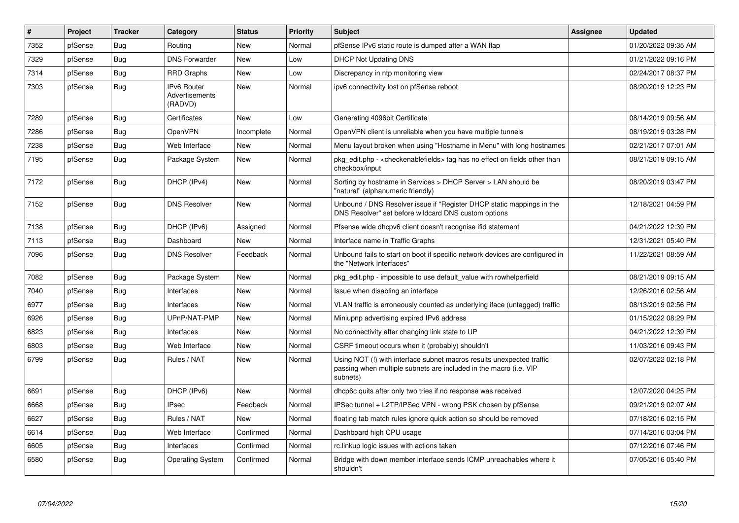| #    | Project | <b>Tracker</b> | Category                                        | <b>Status</b> | <b>Priority</b> | <b>Subject</b>                                                                                                                                         | Assignee | <b>Updated</b>      |
|------|---------|----------------|-------------------------------------------------|---------------|-----------------|--------------------------------------------------------------------------------------------------------------------------------------------------------|----------|---------------------|
| 7352 | pfSense | Bug            | Routing                                         | <b>New</b>    | Normal          | pfSense IPv6 static route is dumped after a WAN flap                                                                                                   |          | 01/20/2022 09:35 AM |
| 7329 | pfSense | Bug            | <b>DNS Forwarder</b>                            | <b>New</b>    | Low             | <b>DHCP Not Updating DNS</b>                                                                                                                           |          | 01/21/2022 09:16 PM |
| 7314 | pfSense | Bug            | <b>RRD Graphs</b>                               | <b>New</b>    | Low             | Discrepancy in ntp monitoring view                                                                                                                     |          | 02/24/2017 08:37 PM |
| 7303 | pfSense | <b>Bug</b>     | <b>IPv6 Router</b><br>Advertisements<br>(RADVD) | <b>New</b>    | Normal          | ipv6 connectivity lost on pfSense reboot                                                                                                               |          | 08/20/2019 12:23 PM |
| 7289 | pfSense | Bug            | Certificates                                    | <b>New</b>    | Low             | Generating 4096bit Certificate                                                                                                                         |          | 08/14/2019 09:56 AM |
| 7286 | pfSense | <b>Bug</b>     | OpenVPN                                         | Incomplete    | Normal          | OpenVPN client is unreliable when you have multiple tunnels                                                                                            |          | 08/19/2019 03:28 PM |
| 7238 | pfSense | <b>Bug</b>     | Web Interface                                   | <b>New</b>    | Normal          | Menu layout broken when using "Hostname in Menu" with long hostnames                                                                                   |          | 02/21/2017 07:01 AM |
| 7195 | pfSense | <b>Bug</b>     | Package System                                  | New           | Normal          | pkg edit.php - <checkenablefields> tag has no effect on fields other than<br/>checkbox/input</checkenablefields>                                       |          | 08/21/2019 09:15 AM |
| 7172 | pfSense | Bug            | DHCP (IPv4)                                     | New           | Normal          | Sorting by hostname in Services > DHCP Server > LAN should be<br>"natural" (alphanumeric friendly)                                                     |          | 08/20/2019 03:47 PM |
| 7152 | pfSense | <b>Bug</b>     | <b>DNS Resolver</b>                             | <b>New</b>    | Normal          | Unbound / DNS Resolver issue if "Register DHCP static mappings in the<br>DNS Resolver" set before wildcard DNS custom options                          |          | 12/18/2021 04:59 PM |
| 7138 | pfSense | Bug            | DHCP (IPv6)                                     | Assigned      | Normal          | Pfsense wide dhcpv6 client doesn't recognise ifid statement                                                                                            |          | 04/21/2022 12:39 PM |
| 7113 | pfSense | <b>Bug</b>     | Dashboard                                       | <b>New</b>    | Normal          | Interface name in Traffic Graphs                                                                                                                       |          | 12/31/2021 05:40 PM |
| 7096 | pfSense | Bug            | <b>DNS Resolver</b>                             | Feedback      | Normal          | Unbound fails to start on boot if specific network devices are configured in<br>the "Network Interfaces"                                               |          | 11/22/2021 08:59 AM |
| 7082 | pfSense | Bug            | Package System                                  | <b>New</b>    | Normal          | pkg edit.php - impossible to use default value with rowhelperfield                                                                                     |          | 08/21/2019 09:15 AM |
| 7040 | pfSense | Bug            | Interfaces                                      | <b>New</b>    | Normal          | Issue when disabling an interface                                                                                                                      |          | 12/26/2016 02:56 AM |
| 6977 | pfSense | <b>Bug</b>     | Interfaces                                      | New           | Normal          | VLAN traffic is erroneously counted as underlying iface (untagged) traffic                                                                             |          | 08/13/2019 02:56 PM |
| 6926 | pfSense | <b>Bug</b>     | UPnP/NAT-PMP                                    | New           | Normal          | Miniupnp advertising expired IPv6 address                                                                                                              |          | 01/15/2022 08:29 PM |
| 6823 | pfSense | Bug            | Interfaces                                      | <b>New</b>    | Normal          | No connectivity after changing link state to UP                                                                                                        |          | 04/21/2022 12:39 PM |
| 6803 | pfSense | <b>Bug</b>     | Web Interface                                   | New           | Normal          | CSRF timeout occurs when it (probably) shouldn't                                                                                                       |          | 11/03/2016 09:43 PM |
| 6799 | pfSense | <b>Bug</b>     | Rules / NAT                                     | <b>New</b>    | Normal          | Using NOT (!) with interface subnet macros results unexpected traffic<br>passing when multiple subnets are included in the macro (i.e. VIP<br>subnets) |          | 02/07/2022 02:18 PM |
| 6691 | pfSense | Bug            | DHCP (IPv6)                                     | <b>New</b>    | Normal          | dhcp6c quits after only two tries if no response was received                                                                                          |          | 12/07/2020 04:25 PM |
| 6668 | pfSense | Bug            | <b>IPsec</b>                                    | Feedback      | Normal          | IPSec tunnel + L2TP/IPSec VPN - wrong PSK chosen by pfSense                                                                                            |          | 09/21/2019 02:07 AM |
| 6627 | pfSense | <b>Bug</b>     | Rules / NAT                                     | <b>New</b>    | Normal          | floating tab match rules ignore quick action so should be removed                                                                                      |          | 07/18/2016 02:15 PM |
| 6614 | pfSense | <b>Bug</b>     | Web Interface                                   | Confirmed     | Normal          | Dashboard high CPU usage                                                                                                                               |          | 07/14/2016 03:04 PM |
| 6605 | pfSense | Bug            | Interfaces                                      | Confirmed     | Normal          | rc.linkup logic issues with actions taken                                                                                                              |          | 07/12/2016 07:46 PM |
| 6580 | pfSense | Bug            | <b>Operating System</b>                         | Confirmed     | Normal          | Bridge with down member interface sends ICMP unreachables where it<br>shouldn't                                                                        |          | 07/05/2016 05:40 PM |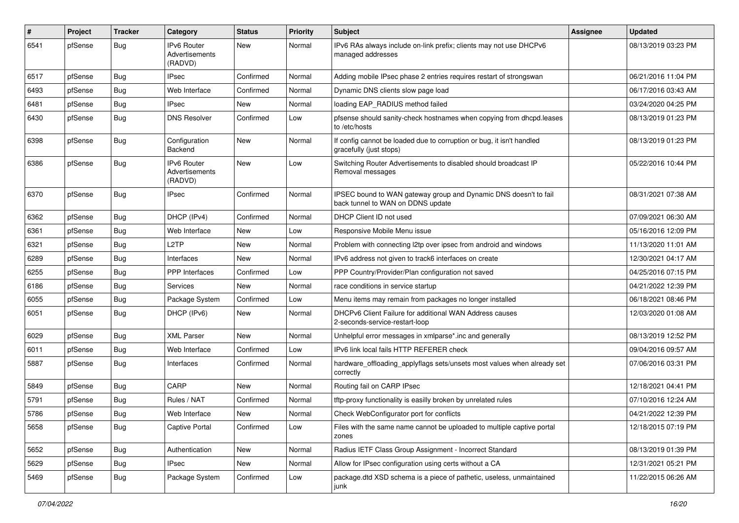| $\pmb{\#}$ | Project | <b>Tracker</b> | Category                                        | <b>Status</b> | <b>Priority</b> | Subject                                                                                               | <b>Assignee</b> | <b>Updated</b>      |
|------------|---------|----------------|-------------------------------------------------|---------------|-----------------|-------------------------------------------------------------------------------------------------------|-----------------|---------------------|
| 6541       | pfSense | <b>Bug</b>     | IPv6 Router<br><b>Advertisements</b><br>(RADVD) | <b>New</b>    | Normal          | IPv6 RAs always include on-link prefix; clients may not use DHCPv6<br>managed addresses               |                 | 08/13/2019 03:23 PM |
| 6517       | pfSense | <b>Bug</b>     | <b>IPsec</b>                                    | Confirmed     | Normal          | Adding mobile IPsec phase 2 entries requires restart of strongswan                                    |                 | 06/21/2016 11:04 PM |
| 6493       | pfSense | <b>Bug</b>     | Web Interface                                   | Confirmed     | Normal          | Dynamic DNS clients slow page load                                                                    |                 | 06/17/2016 03:43 AM |
| 6481       | pfSense | Bug            | <b>IPsec</b>                                    | New           | Normal          | loading EAP_RADIUS method failed                                                                      |                 | 03/24/2020 04:25 PM |
| 6430       | pfSense | <b>Bug</b>     | <b>DNS Resolver</b>                             | Confirmed     | Low             | pfsense should sanity-check hostnames when copying from dhcpd.leases<br>to /etc/hosts                 |                 | 08/13/2019 01:23 PM |
| 6398       | pfSense | <b>Bug</b>     | Configuration<br>Backend                        | New           | Normal          | If config cannot be loaded due to corruption or bug, it isn't handled<br>gracefully (just stops)      |                 | 08/13/2019 01:23 PM |
| 6386       | pfSense | <b>Bug</b>     | IPv6 Router<br>Advertisements<br>(RADVD)        | <b>New</b>    | Low             | Switching Router Advertisements to disabled should broadcast IP<br>Removal messages                   |                 | 05/22/2016 10:44 PM |
| 6370       | pfSense | <b>Bug</b>     | <b>IPsec</b>                                    | Confirmed     | Normal          | IPSEC bound to WAN gateway group and Dynamic DNS doesn't to fail<br>back tunnel to WAN on DDNS update |                 | 08/31/2021 07:38 AM |
| 6362       | pfSense | <b>Bug</b>     | DHCP (IPv4)                                     | Confirmed     | Normal          | DHCP Client ID not used                                                                               |                 | 07/09/2021 06:30 AM |
| 6361       | pfSense | <b>Bug</b>     | Web Interface                                   | New           | Low             | Responsive Mobile Menu issue                                                                          |                 | 05/16/2016 12:09 PM |
| 6321       | pfSense | <b>Bug</b>     | L <sub>2</sub> TP                               | New           | Normal          | Problem with connecting I2tp over ipsec from android and windows                                      |                 | 11/13/2020 11:01 AM |
| 6289       | pfSense | <b>Bug</b>     | Interfaces                                      | <b>New</b>    | Normal          | IPv6 address not given to track6 interfaces on create                                                 |                 | 12/30/2021 04:17 AM |
| 6255       | pfSense | Bug            | PPP Interfaces                                  | Confirmed     | Low             | PPP Country/Provider/Plan configuration not saved                                                     |                 | 04/25/2016 07:15 PM |
| 6186       | pfSense | <b>Bug</b>     | Services                                        | New           | Normal          | race conditions in service startup                                                                    |                 | 04/21/2022 12:39 PM |
| 6055       | pfSense | <b>Bug</b>     | Package System                                  | Confirmed     | Low             | Menu items may remain from packages no longer installed                                               |                 | 06/18/2021 08:46 PM |
| 6051       | pfSense | Bug            | DHCP (IPv6)                                     | New           | Normal          | DHCPv6 Client Failure for additional WAN Address causes<br>2-seconds-service-restart-loop             |                 | 12/03/2020 01:08 AM |
| 6029       | pfSense | Bug            | <b>XML Parser</b>                               | <b>New</b>    | Normal          | Unhelpful error messages in xmlparse*.inc and generally                                               |                 | 08/13/2019 12:52 PM |
| 6011       | pfSense | <b>Bug</b>     | Web Interface                                   | Confirmed     | Low             | IPv6 link local fails HTTP REFERER check                                                              |                 | 09/04/2016 09:57 AM |
| 5887       | pfSense | <b>Bug</b>     | Interfaces                                      | Confirmed     | Normal          | hardware_offloading_applyflags sets/unsets most values when already set<br>correctly                  |                 | 07/06/2016 03:31 PM |
| 5849       | pfSense | <b>Bug</b>     | CARP                                            | <b>New</b>    | Normal          | Routing fail on CARP IPsec                                                                            |                 | 12/18/2021 04:41 PM |
| 5791       | pfSense | Bug            | Rules / NAT                                     | Confirmed     | Normal          | tftp-proxy functionality is easilly broken by unrelated rules                                         |                 | 07/10/2016 12:24 AM |
| 5786       | pfSense | <b>Bug</b>     | Web Interface                                   | New           | Normal          | Check WebConfigurator port for conflicts                                                              |                 | 04/21/2022 12:39 PM |
| 5658       | pfSense | <b>Bug</b>     | <b>Captive Portal</b>                           | Confirmed     | Low             | Files with the same name cannot be uploaded to multiple captive portal<br>zones                       |                 | 12/18/2015 07:19 PM |
| 5652       | pfSense | <b>Bug</b>     | Authentication                                  | New           | Normal          | Radius IETF Class Group Assignment - Incorrect Standard                                               |                 | 08/13/2019 01:39 PM |
| 5629       | pfSense | <b>Bug</b>     | <b>IPsec</b>                                    | New           | Normal          | Allow for IPsec configuration using certs without a CA                                                |                 | 12/31/2021 05:21 PM |
| 5469       | pfSense | Bug            | Package System                                  | Confirmed     | Low             | package.dtd XSD schema is a piece of pathetic, useless, unmaintained<br>junk                          |                 | 11/22/2015 06:26 AM |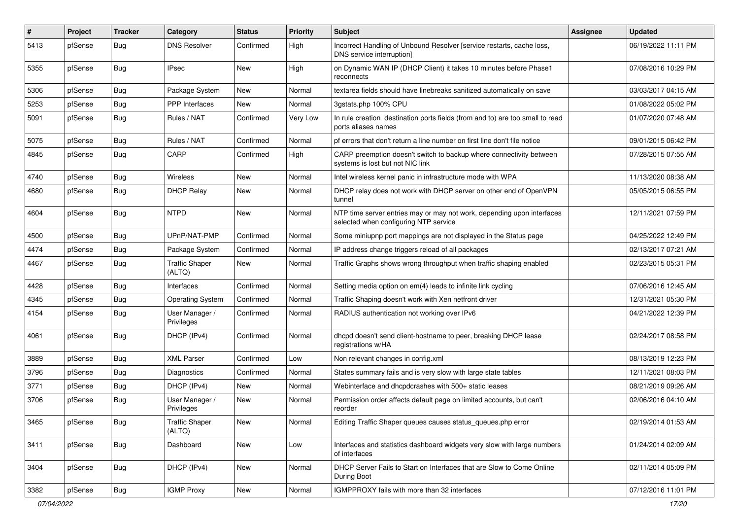| $\vert$ # | Project | <b>Tracker</b> | Category                        | <b>Status</b> | <b>Priority</b> | Subject                                                                                                         | Assignee | <b>Updated</b>      |
|-----------|---------|----------------|---------------------------------|---------------|-----------------|-----------------------------------------------------------------------------------------------------------------|----------|---------------------|
| 5413      | pfSense | Bug            | <b>DNS Resolver</b>             | Confirmed     | High            | Incorrect Handling of Unbound Resolver [service restarts, cache loss,<br>DNS service interruption]              |          | 06/19/2022 11:11 PM |
| 5355      | pfSense | Bug            | <b>IPsec</b>                    | New           | High            | on Dynamic WAN IP (DHCP Client) it takes 10 minutes before Phase1<br>reconnects                                 |          | 07/08/2016 10:29 PM |
| 5306      | pfSense | Bug            | Package System                  | <b>New</b>    | Normal          | textarea fields should have linebreaks sanitized automatically on save                                          |          | 03/03/2017 04:15 AM |
| 5253      | pfSense | <b>Bug</b>     | <b>PPP</b> Interfaces           | New           | Normal          | 3gstats.php 100% CPU                                                                                            |          | 01/08/2022 05:02 PM |
| 5091      | pfSense | <b>Bug</b>     | Rules / NAT                     | Confirmed     | Very Low        | In rule creation destination ports fields (from and to) are too small to read<br>ports aliases names            |          | 01/07/2020 07:48 AM |
| 5075      | pfSense | Bug            | Rules / NAT                     | Confirmed     | Normal          | pf errors that don't return a line number on first line don't file notice                                       |          | 09/01/2015 06:42 PM |
| 4845      | pfSense | <b>Bug</b>     | CARP                            | Confirmed     | High            | CARP preemption doesn't switch to backup where connectivity between<br>systems is lost but not NIC link         |          | 07/28/2015 07:55 AM |
| 4740      | pfSense | Bug            | Wireless                        | New           | Normal          | Intel wireless kernel panic in infrastructure mode with WPA                                                     |          | 11/13/2020 08:38 AM |
| 4680      | pfSense | <b>Bug</b>     | <b>DHCP Relay</b>               | <b>New</b>    | Normal          | DHCP relay does not work with DHCP server on other end of OpenVPN<br>tunnel                                     |          | 05/05/2015 06:55 PM |
| 4604      | pfSense | Bug            | <b>NTPD</b>                     | New           | Normal          | NTP time server entries may or may not work, depending upon interfaces<br>selected when configuring NTP service |          | 12/11/2021 07:59 PM |
| 4500      | pfSense | Bug            | UPnP/NAT-PMP                    | Confirmed     | Normal          | Some miniupnp port mappings are not displayed in the Status page                                                |          | 04/25/2022 12:49 PM |
| 4474      | pfSense | <b>Bug</b>     | Package System                  | Confirmed     | Normal          | IP address change triggers reload of all packages                                                               |          | 02/13/2017 07:21 AM |
| 4467      | pfSense | Bug            | <b>Traffic Shaper</b><br>(ALTQ) | New           | Normal          | Traffic Graphs shows wrong throughput when traffic shaping enabled                                              |          | 02/23/2015 05:31 PM |
| 4428      | pfSense | Bug            | Interfaces                      | Confirmed     | Normal          | Setting media option on em(4) leads to infinite link cycling                                                    |          | 07/06/2016 12:45 AM |
| 4345      | pfSense | <b>Bug</b>     | <b>Operating System</b>         | Confirmed     | Normal          | Traffic Shaping doesn't work with Xen netfront driver                                                           |          | 12/31/2021 05:30 PM |
| 4154      | pfSense | Bug            | User Manager /<br>Privileges    | Confirmed     | Normal          | RADIUS authentication not working over IPv6                                                                     |          | 04/21/2022 12:39 PM |
| 4061      | pfSense | Bug            | DHCP (IPv4)                     | Confirmed     | Normal          | dhcpd doesn't send client-hostname to peer, breaking DHCP lease<br>registrations w/HA                           |          | 02/24/2017 08:58 PM |
| 3889      | pfSense | <b>Bug</b>     | <b>XML Parser</b>               | Confirmed     | Low             | Non relevant changes in config.xml                                                                              |          | 08/13/2019 12:23 PM |
| 3796      | pfSense | Bug            | Diagnostics                     | Confirmed     | Normal          | States summary fails and is very slow with large state tables                                                   |          | 12/11/2021 08:03 PM |
| 3771      | pfSense | Bug            | DHCP (IPv4)                     | New           | Normal          | Webinterface and dhcpdcrashes with 500+ static leases                                                           |          | 08/21/2019 09:26 AM |
| 3706      | pfSense | <b>Bug</b>     | User Manager /<br>Privileges    | New           | Normal          | Permission order affects default page on limited accounts, but can't<br>reorder                                 |          | 02/06/2016 04:10 AM |
| 3465      | pfSense | <b>Bug</b>     | <b>Traffic Shaper</b><br>(ALTQ) | New           | Normal          | Editing Traffic Shaper queues causes status queues.php error                                                    |          | 02/19/2014 01:53 AM |
| 3411      | pfSense | <b>Bug</b>     | Dashboard                       | New           | Low             | Interfaces and statistics dashboard widgets very slow with large numbers<br>of interfaces                       |          | 01/24/2014 02:09 AM |
| 3404      | pfSense | <b>Bug</b>     | DHCP (IPv4)                     | New           | Normal          | DHCP Server Fails to Start on Interfaces that are Slow to Come Online<br>During Boot                            |          | 02/11/2014 05:09 PM |
| 3382      | pfSense | <b>Bug</b>     | <b>IGMP Proxy</b>               | New           | Normal          | IGMPPROXY fails with more than 32 interfaces                                                                    |          | 07/12/2016 11:01 PM |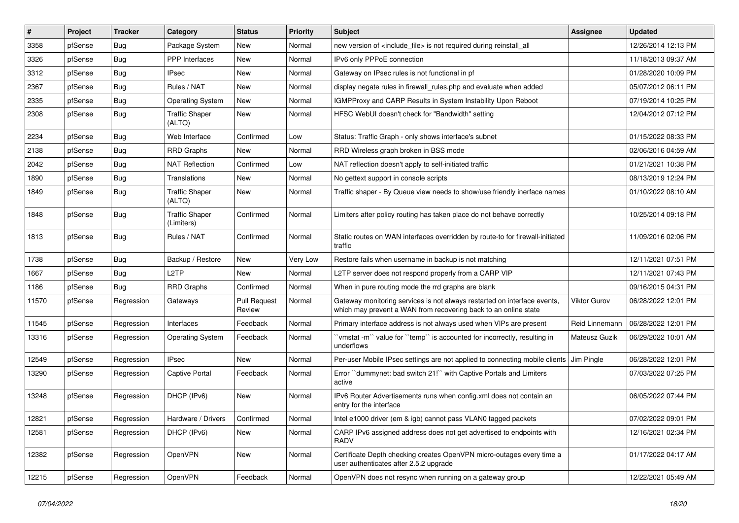| $\vert$ # | Project | <b>Tracker</b> | Category                            | <b>Status</b>                 | <b>Priority</b> | Subject                                                                                                                                     | Assignee       | <b>Updated</b>      |
|-----------|---------|----------------|-------------------------------------|-------------------------------|-----------------|---------------------------------------------------------------------------------------------------------------------------------------------|----------------|---------------------|
| 3358      | pfSense | <b>Bug</b>     | Package System                      | New                           | Normal          | new version of <include_file> is not required during reinstall_all</include_file>                                                           |                | 12/26/2014 12:13 PM |
| 3326      | pfSense | Bug            | <b>PPP</b> Interfaces               | New                           | Normal          | IPv6 only PPPoE connection                                                                                                                  |                | 11/18/2013 09:37 AM |
| 3312      | pfSense | <b>Bug</b>     | IPsec                               | New                           | Normal          | Gateway on IPsec rules is not functional in pf                                                                                              |                | 01/28/2020 10:09 PM |
| 2367      | pfSense | Bug            | Rules / NAT                         | New                           | Normal          | display negate rules in firewall_rules.php and evaluate when added                                                                          |                | 05/07/2012 06:11 PM |
| 2335      | pfSense | <b>Bug</b>     | <b>Operating System</b>             | New                           | Normal          | IGMPProxy and CARP Results in System Instability Upon Reboot                                                                                |                | 07/19/2014 10:25 PM |
| 2308      | pfSense | <b>Bug</b>     | <b>Traffic Shaper</b><br>(ALTQ)     | New                           | Normal          | HFSC WebUI doesn't check for "Bandwidth" setting                                                                                            |                | 12/04/2012 07:12 PM |
| 2234      | pfSense | Bug            | Web Interface                       | Confirmed                     | Low             | Status: Traffic Graph - only shows interface's subnet                                                                                       |                | 01/15/2022 08:33 PM |
| 2138      | pfSense | <b>Bug</b>     | <b>RRD Graphs</b>                   | New                           | Normal          | RRD Wireless graph broken in BSS mode                                                                                                       |                | 02/06/2016 04:59 AM |
| 2042      | pfSense | Bug            | <b>NAT Reflection</b>               | Confirmed                     | Low             | NAT reflection doesn't apply to self-initiated traffic                                                                                      |                | 01/21/2021 10:38 PM |
| 1890      | pfSense | <b>Bug</b>     | Translations                        | New                           | Normal          | No gettext support in console scripts                                                                                                       |                | 08/13/2019 12:24 PM |
| 1849      | pfSense | Bug            | <b>Traffic Shaper</b><br>(ALTQ)     | New                           | Normal          | Traffic shaper - By Queue view needs to show/use friendly inerface names                                                                    |                | 01/10/2022 08:10 AM |
| 1848      | pfSense | Bug            | <b>Traffic Shaper</b><br>(Limiters) | Confirmed                     | Normal          | Limiters after policy routing has taken place do not behave correctly                                                                       |                | 10/25/2014 09:18 PM |
| 1813      | pfSense | <b>Bug</b>     | Rules / NAT                         | Confirmed                     | Normal          | Static routes on WAN interfaces overridden by route-to for firewall-initiated<br>traffic                                                    |                | 11/09/2016 02:06 PM |
| 1738      | pfSense | Bug            | Backup / Restore                    | New                           | Very Low        | Restore fails when username in backup is not matching                                                                                       |                | 12/11/2021 07:51 PM |
| 1667      | pfSense | <b>Bug</b>     | L2TP                                | New                           | Normal          | L2TP server does not respond properly from a CARP VIP                                                                                       |                | 12/11/2021 07:43 PM |
| 1186      | pfSense | Bug            | <b>RRD Graphs</b>                   | Confirmed                     | Normal          | When in pure routing mode the rrd graphs are blank                                                                                          |                | 09/16/2015 04:31 PM |
| 11570     | pfSense | Regression     | Gateways                            | <b>Pull Request</b><br>Review | Normal          | Gateway monitoring services is not always restarted on interface events,<br>which may prevent a WAN from recovering back to an online state | Viktor Gurov   | 06/28/2022 12:01 PM |
| 11545     | pfSense | Regression     | Interfaces                          | Feedback                      | Normal          | Primary interface address is not always used when VIPs are present                                                                          | Reid Linnemann | 06/28/2022 12:01 PM |
| 13316     | pfSense | Regression     | <b>Operating System</b>             | Feedback                      | Normal          | `vmstat -m`` value for ``temp`` is accounted for incorrectly, resulting in<br>underflows                                                    | Mateusz Guzik  | 06/29/2022 10:01 AM |
| 12549     | pfSense | Regression     | <b>IPsec</b>                        | New                           | Normal          | Per-user Mobile IPsec settings are not applied to connecting mobile clients                                                                 | Jim Pingle     | 06/28/2022 12:01 PM |
| 13290     | pfSense | Regression     | Captive Portal                      | Feedback                      | Normal          | Error "dummynet: bad switch 21!" with Captive Portals and Limiters<br>active                                                                |                | 07/03/2022 07:25 PM |
| 13248     | pfSense | Regression     | DHCP (IPv6)                         | New                           | Normal          | IPv6 Router Advertisements runs when config.xml does not contain an<br>entry for the interface                                              |                | 06/05/2022 07:44 PM |
| 12821     | pfSense | Regression     | Hardware / Drivers                  | Confirmed                     | Normal          | Intel e1000 driver (em & igb) cannot pass VLAN0 tagged packets                                                                              |                | 07/02/2022 09:01 PM |
| 12581     | pfSense | Regression     | DHCP (IPv6)                         | New                           | Normal          | CARP IPv6 assigned address does not get advertised to endpoints with<br>RADV                                                                |                | 12/16/2021 02:34 PM |
| 12382     | pfSense | Regression     | OpenVPN                             | New                           | Normal          | Certificate Depth checking creates OpenVPN micro-outages every time a<br>user authenticates after 2.5.2 upgrade                             |                | 01/17/2022 04:17 AM |
| 12215     | pfSense | Regression     | OpenVPN                             | Feedback                      | Normal          | OpenVPN does not resync when running on a gateway group                                                                                     |                | 12/22/2021 05:49 AM |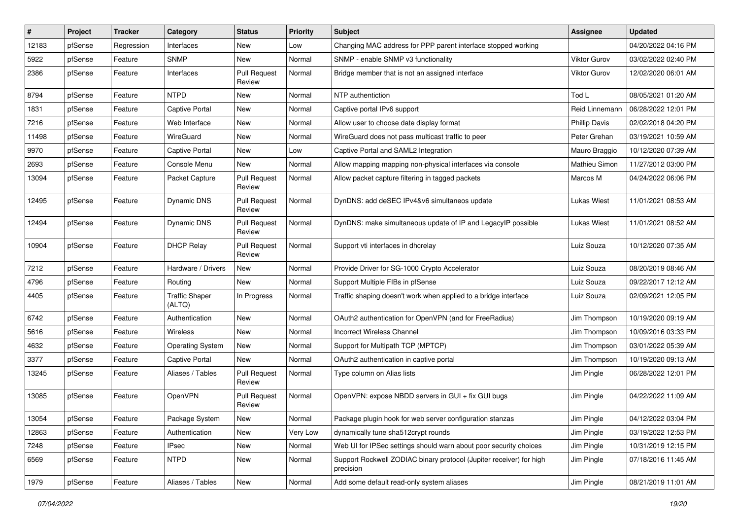| #     | Project | <b>Tracker</b> | Category                        | <b>Status</b>                 | <b>Priority</b> | Subject                                                                          | Assignee             | <b>Updated</b>      |
|-------|---------|----------------|---------------------------------|-------------------------------|-----------------|----------------------------------------------------------------------------------|----------------------|---------------------|
| 12183 | pfSense | Regression     | Interfaces                      | New                           | Low             | Changing MAC address for PPP parent interface stopped working                    |                      | 04/20/2022 04:16 PM |
| 5922  | pfSense | Feature        | <b>SNMP</b>                     | New                           | Normal          | SNMP - enable SNMP v3 functionality                                              | <b>Viktor Gurov</b>  | 03/02/2022 02:40 PM |
| 2386  | pfSense | Feature        | Interfaces                      | <b>Pull Request</b><br>Review | Normal          | Bridge member that is not an assigned interface                                  | Viktor Gurov         | 12/02/2020 06:01 AM |
| 8794  | pfSense | Feature        | <b>NTPD</b>                     | <b>New</b>                    | Normal          | NTP authentiction                                                                | Tod L                | 08/05/2021 01:20 AM |
| 1831  | pfSense | Feature        | Captive Portal                  | New                           | Normal          | Captive portal IPv6 support                                                      | Reid Linnemann       | 06/28/2022 12:01 PM |
| 7216  | pfSense | Feature        | Web Interface                   | New                           | Normal          | Allow user to choose date display format                                         | <b>Phillip Davis</b> | 02/02/2018 04:20 PM |
| 11498 | pfSense | Feature        | WireGuard                       | New                           | Normal          | WireGuard does not pass multicast traffic to peer                                | Peter Grehan         | 03/19/2021 10:59 AM |
| 9970  | pfSense | Feature        | Captive Portal                  | New                           | Low             | Captive Portal and SAML2 Integration                                             | Mauro Braggio        | 10/12/2020 07:39 AM |
| 2693  | pfSense | Feature        | Console Menu                    | New                           | Normal          | Allow mapping mapping non-physical interfaces via console                        | Mathieu Simon        | 11/27/2012 03:00 PM |
| 13094 | pfSense | Feature        | Packet Capture                  | <b>Pull Request</b><br>Review | Normal          | Allow packet capture filtering in tagged packets                                 | Marcos M             | 04/24/2022 06:06 PM |
| 12495 | pfSense | Feature        | <b>Dynamic DNS</b>              | <b>Pull Request</b><br>Review | Normal          | DynDNS: add deSEC IPv4&v6 simultaneos update                                     | <b>Lukas Wiest</b>   | 11/01/2021 08:53 AM |
| 12494 | pfSense | Feature        | Dynamic DNS                     | <b>Pull Request</b><br>Review | Normal          | DynDNS: make simultaneous update of IP and LegacyIP possible                     | Lukas Wiest          | 11/01/2021 08:52 AM |
| 10904 | pfSense | Feature        | <b>DHCP Relay</b>               | <b>Pull Request</b><br>Review | Normal          | Support vti interfaces in dhcrelay                                               | Luiz Souza           | 10/12/2020 07:35 AM |
| 7212  | pfSense | Feature        | Hardware / Drivers              | New                           | Normal          | Provide Driver for SG-1000 Crypto Accelerator                                    | Luiz Souza           | 08/20/2019 08:46 AM |
| 4796  | pfSense | Feature        | Routing                         | New                           | Normal          | Support Multiple FIBs in pfSense                                                 | Luiz Souza           | 09/22/2017 12:12 AM |
| 4405  | pfSense | Feature        | <b>Traffic Shaper</b><br>(ALTQ) | In Progress                   | Normal          | Traffic shaping doesn't work when applied to a bridge interface                  | Luiz Souza           | 02/09/2021 12:05 PM |
| 6742  | pfSense | Feature        | Authentication                  | New                           | Normal          | OAuth2 authentication for OpenVPN (and for FreeRadius)                           | Jim Thompson         | 10/19/2020 09:19 AM |
| 5616  | pfSense | Feature        | Wireless                        | New                           | Normal          | <b>Incorrect Wireless Channel</b>                                                | Jim Thompson         | 10/09/2016 03:33 PM |
| 4632  | pfSense | Feature        | <b>Operating System</b>         | New                           | Normal          | Support for Multipath TCP (MPTCP)                                                | Jim Thompson         | 03/01/2022 05:39 AM |
| 3377  | pfSense | Feature        | Captive Portal                  | New                           | Normal          | OAuth2 authentication in captive portal                                          | Jim Thompson         | 10/19/2020 09:13 AM |
| 13245 | pfSense | Feature        | Aliases / Tables                | <b>Pull Request</b><br>Review | Normal          | Type column on Alias lists                                                       | Jim Pingle           | 06/28/2022 12:01 PM |
| 13085 | pfSense | Feature        | OpenVPN                         | Pull Request<br>Review        | Normal          | OpenVPN: expose NBDD servers in GUI + fix GUI bugs                               | Jim Pingle           | 04/22/2022 11:09 AM |
| 13054 | pfSense | Feature        | Package System                  | New                           | Normal          | Package plugin hook for web server configuration stanzas                         | Jim Pingle           | 04/12/2022 03:04 PM |
| 12863 | pfSense | Feature        | Authentication                  | New                           | Very Low        | dynamically tune sha512crypt rounds                                              | Jim Pingle           | 03/19/2022 12:53 PM |
| 7248  | pfSense | Feature        | <b>IPsec</b>                    | New                           | Normal          | Web UI for IPSec settings should warn about poor security choices                | Jim Pingle           | 10/31/2019 12:15 PM |
| 6569  | pfSense | Feature        | <b>NTPD</b>                     | New                           | Normal          | Support Rockwell ZODIAC binary protocol (Jupiter receiver) for high<br>precision | Jim Pingle           | 07/18/2016 11:45 AM |
| 1979  | pfSense | Feature        | Aliases / Tables                | New                           | Normal          | Add some default read-only system aliases                                        | Jim Pingle           | 08/21/2019 11:01 AM |